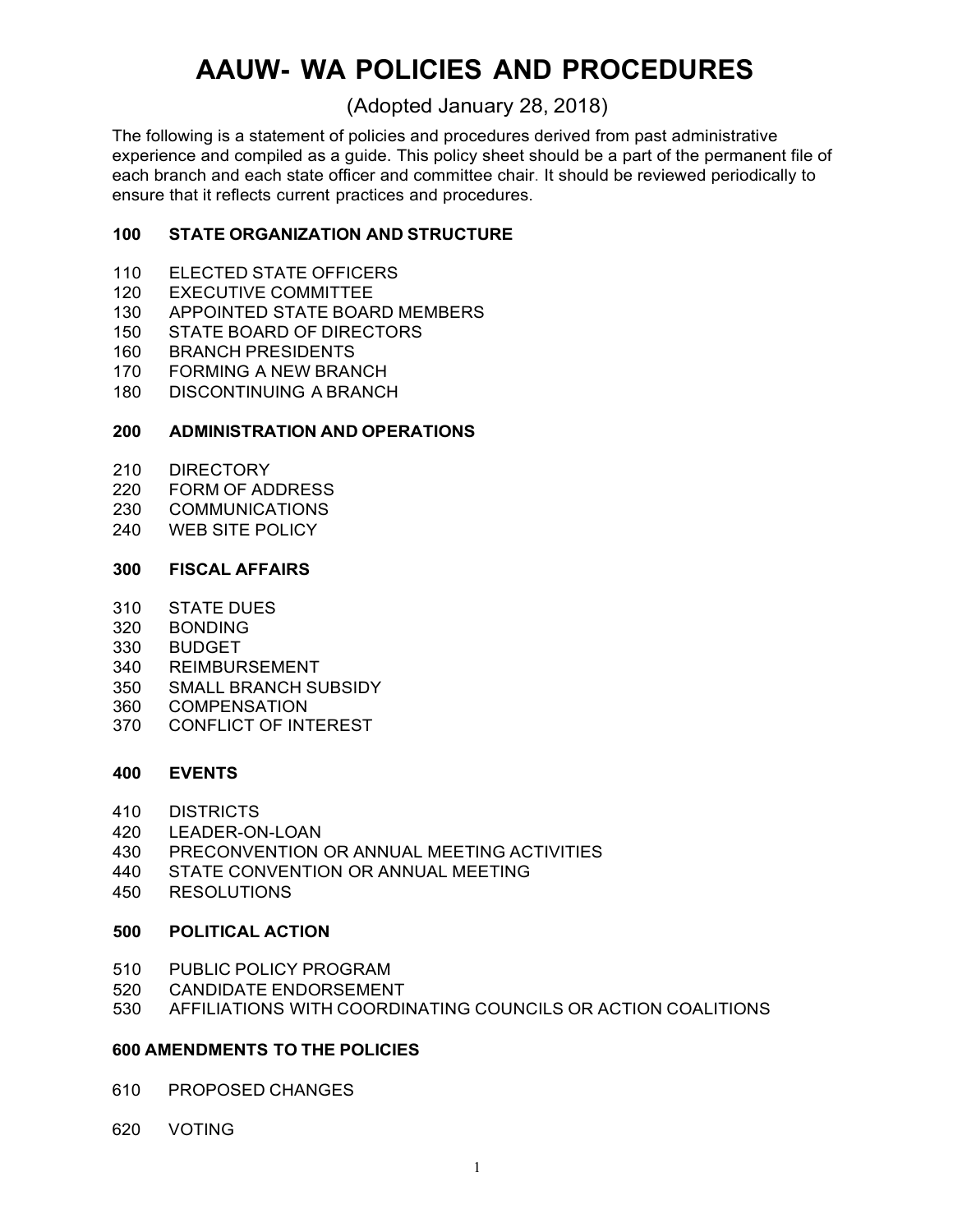# (Adopted January 28, 2018)

The following is a statement of policies and procedures derived from past administrative experience and compiled as a guide. This policy sheet should be a part of the permanent file of each branch and each state officer and committee chair. It should be reviewed periodically to ensure that it reflects current practices and procedures.

# STATE ORGANIZATION AND STRUCTURE

- ELECTED STATE OFFICERS
- EXECUTIVE COMMITTEE
- APPOINTED STATE BOARD MEMBERS
- STATE BOARD OF DIRECTORS
- BRANCH PRESIDENTS
- FORMING A NEW BRANCH
- DISCONTINUING A BRANCH

# ADMINISTRATION AND OPERATIONS

- DIRECTORY
- FORM OF ADDRESS
- COMMUNICATIONS
- WEB SITE POLICY

#### FISCAL AFFAIRS

- STATE DUES
- BONDING
- BUDGET
- REIMBURSEMENT
- SMALL BRANCH SUBSIDY
- COMPENSATION
- CONFLICT OF INTEREST

#### EVENTS

- DISTRICTS
- LEADER-ON-LOAN
- PRECONVENTION OR ANNUAL MEETING ACTIVITIES
- STATE CONVENTION OR ANNUAL MEETING
- RESOLUTIONS

#### POLITICAL ACTION

- PUBLIC POLICY PROGRAM
- CANDIDATE ENDORSEMENT
- AFFILIATIONS WITH COORDINATING COUNCILS OR ACTION COALITIONS

#### 600 AMENDMENTS TO THE POLICIES

- 610 PROPOSED CHANGES
- 620 VOTING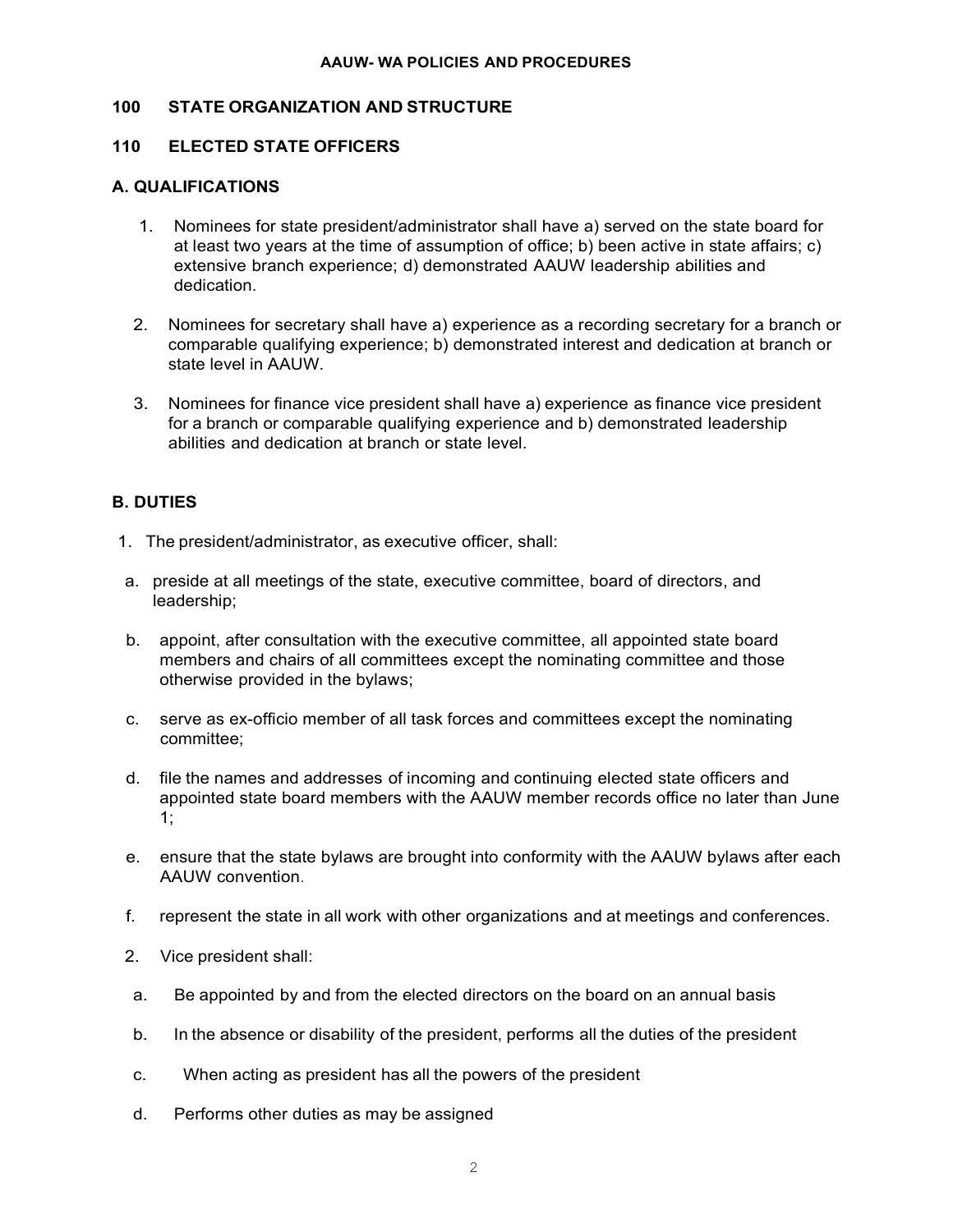#### 100 STATE ORGANIZATION AND STRUCTURE

## 110 ELECTED STATE OFFICERS

#### A. QUALIFICATIONS

- 1. Nominees for state president/administrator shall have a) served on the state board for at least two years at the time of assumption of office; b) been active in state affairs; c) extensive branch experience; d) demonstrated AAUW leadership abilities and dedication.
- 2. Nominees for secretary shall have a) experience as a recording secretary for a branch or comparable qualifying experience; b) demonstrated interest and dedication at branch or state level in AAUW.
- 3. Nominees for finance vice president shall have a) experience as finance vice president for a branch or comparable qualifying experience and b) demonstrated leadership abilities and dedication at branch or state level.

# B. DUTIES

- 1. The president/administrator, as executive officer, shall:
- a. preside at all meetings of the state, executive committee, board of directors, and leadership;
- b. appoint, after consultation with the executive committee, all appointed state board members and chairs of all committees except the nominating committee and those otherwise provided in the bylaws;
- c. serve as ex-officio member of all task forces and committees except the nominating committee;
- d. file the names and addresses of incoming and continuing elected state officers and appointed state board members with the AAUW member records office no later than June 1;
- e. ensure that the state bylaws are brought into conformity with the AAUW bylaws after each AAUW convention.
- f. represent the state in all work with other organizations and at meetings and conferences.
- 2. Vice president shall:
- a. Be appointed by and from the elected directors on the board on an annual basis
- b. In the absence or disability of the president, performs all the duties of the president
- c. When acting as president has all the powers of the president
- d. Performs other duties as may be assigned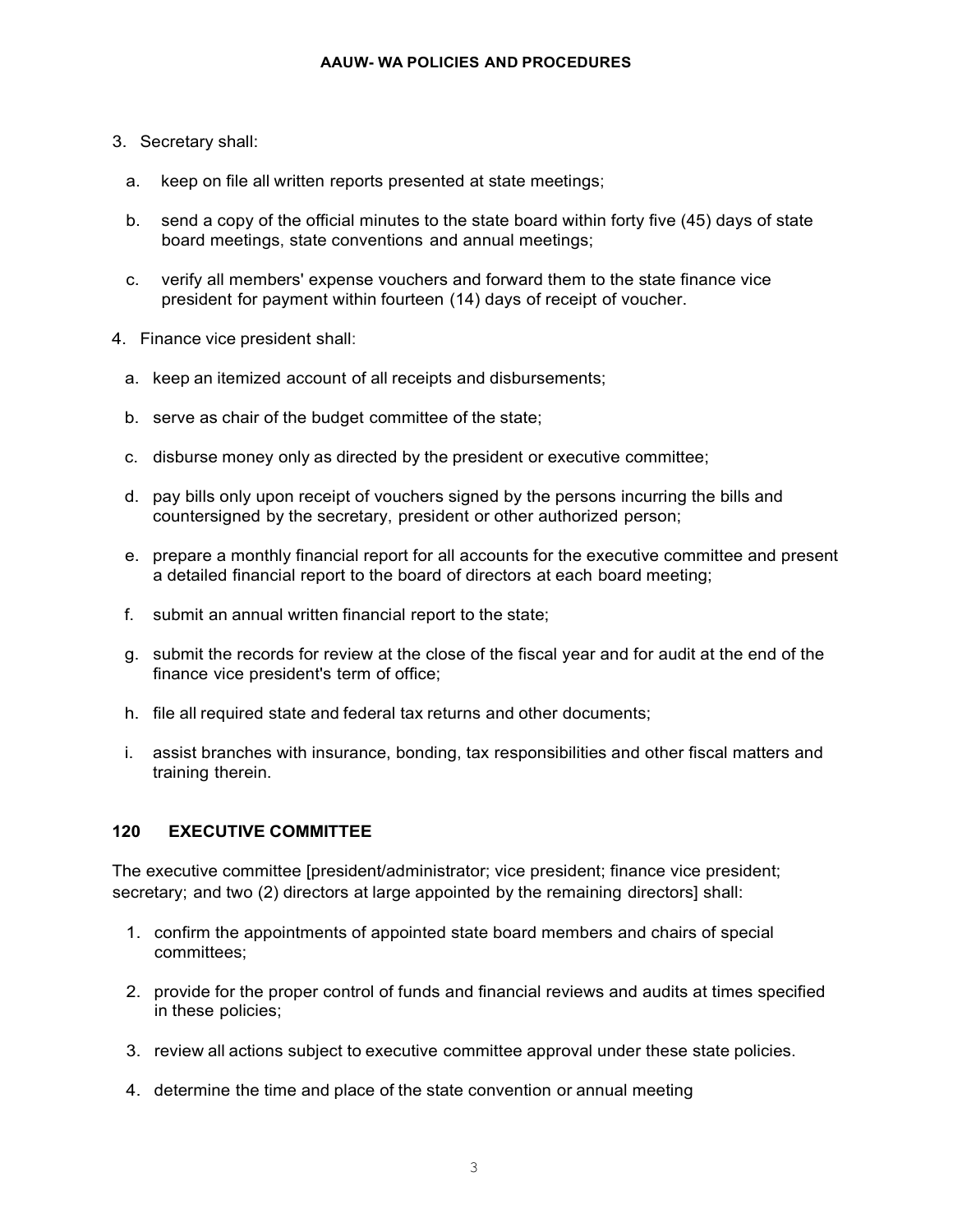- 3. Secretary shall:
	- a. keep on file all written reports presented at state meetings;
	- b. send a copy of the official minutes to the state board within forty five (45) days of state board meetings, state conventions and annual meetings;
	- c. verify all members' expense vouchers and forward them to the state finance vice president for payment within fourteen (14) days of receipt of voucher.
- 4. Finance vice president shall:
	- a. keep an itemized account of all receipts and disbursements;
	- b. serve as chair of the budget committee of the state;
	- c. disburse money only as directed by the president or executive committee;
	- d. pay bills only upon receipt of vouchers signed by the persons incurring the bills and countersigned by the secretary, president or other authorized person;
	- e. prepare a monthly financial report for all accounts for the executive committee and present a detailed financial report to the board of directors at each board meeting;
	- f. submit an annual written financial report to the state;
	- g. submit the records for review at the close of the fiscal year and for audit at the end of the finance vice president's term of office;
	- h. file all required state and federal tax returns and other documents;
	- i. assist branches with insurance, bonding, tax responsibilities and other fiscal matters and training therein.

# 120 EXECUTIVE COMMITTEE

The executive committee [president/administrator; vice president; finance vice president; secretary; and two (2) directors at large appointed by the remaining directors] shall:

- 1. confirm the appointments of appointed state board members and chairs of special committees;
- 2. provide for the proper control of funds and financial reviews and audits at times specified in these policies;
- 3. review all actions subject to executive committee approval under these state policies.
- 4. determine the time and place of the state convention or annual meeting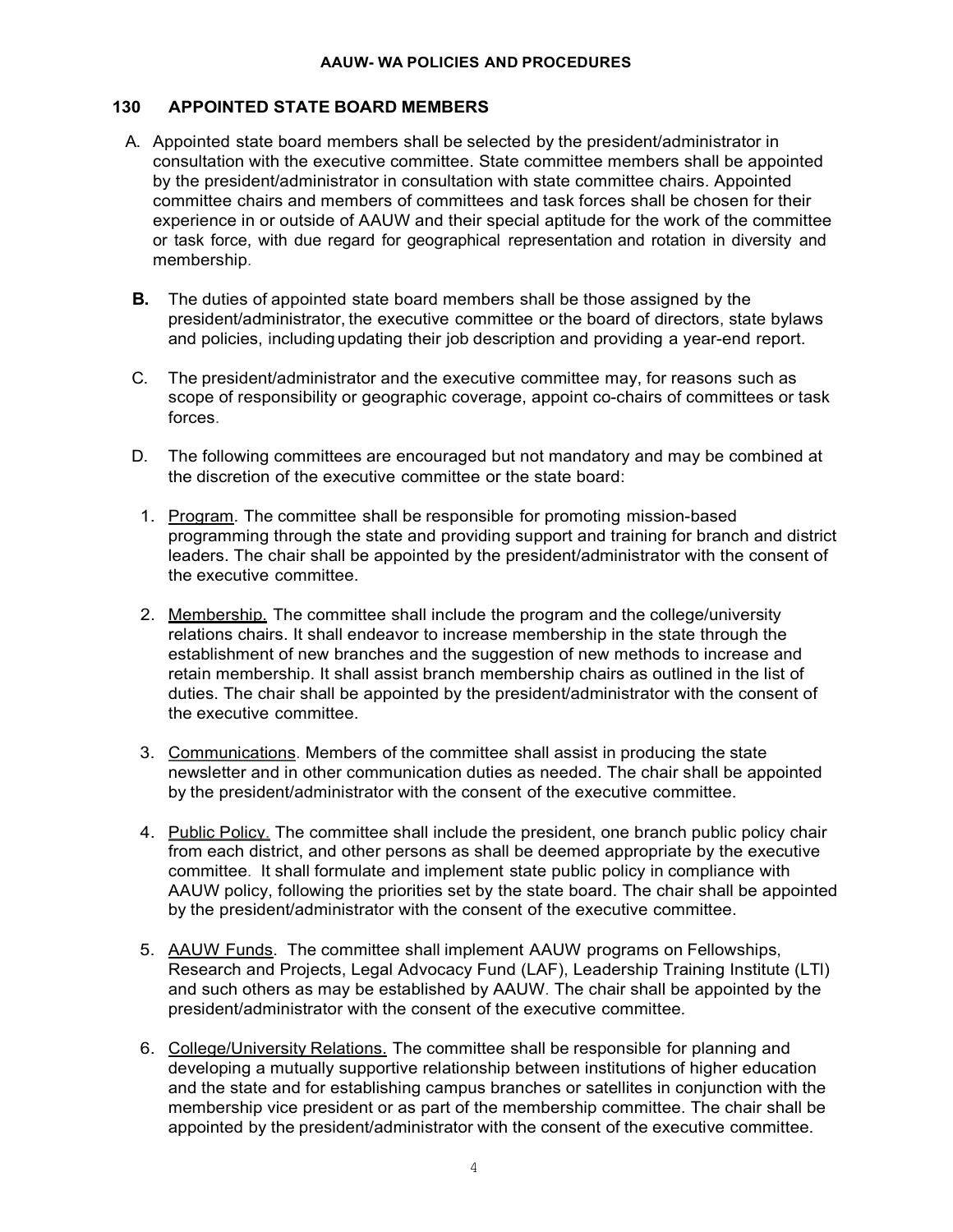# 130 APPOINTED STATE BOARD MEMBERS

- A. Appointed state board members shall be selected by the president/administrator in consultation with the executive committee. State committee members shall be appointed by the president/administrator in consultation with state committee chairs. Appointed committee chairs and members of committees and task forces shall be chosen for their experience in or outside of AAUW and their special aptitude for the work of the committee or task force, with due regard for geographical representation and rotation in diversity and membership.
- **B.** The duties of appointed state board members shall be those assigned by the president/administrator, the executive committee or the board of directors, state bylaws and policies, including updating their job description and providing a year-end report.
- C. The president/administrator and the executive committee may, for reasons such as scope of responsibility or geographic coverage, appoint co-chairs of committees or task forces.
- D. The following committees are encouraged but not mandatory and may be combined at the discretion of the executive committee or the state board:
- 1. Program. The committee shall be responsible for promoting mission-based programming through the state and providing support and training for branch and district leaders. The chair shall be appointed by the president/administrator with the consent of the executive committee.
- 2. Membership. The committee shall include the program and the college/university relations chairs. It shall endeavor to increase membership in the state through the establishment of new branches and the suggestion of new methods to increase and retain membership. It shall assist branch membership chairs as outlined in the list of duties. The chair shall be appointed by the president/administrator with the consent of the executive committee.
- 3. Communications. Members of the committee shall assist in producing the state newsletter and in other communication duties as needed. The chair shall be appointed by the president/administrator with the consent of the executive committee.
- 4. Public Policy. The committee shall include the president, one branch public policy chair from each district, and other persons as shall be deemed appropriate by the executive committee. It shall formulate and implement state public policy in compliance with AAUW policy, following the priorities set by the state board. The chair shall be appointed by the president/administrator with the consent of the executive committee.
- 5. AAUW Funds. The committee shall implement AAUW programs on Fellowships,<br>Research and Projects, Legal Advocacy Fund (LAF), Leadership Training Institute (LTI) and such others as may be established by AAUW. The chair shall be appointed by the president/administrator with the consent of the executive committee.
- 6. College/University Relations. The committee shall be responsible for planning and developing a mutually supportive relationship between institutions of higher education and the state and for establishing campus branches or satellites in conjunction with the membership vice president or as part of the membership committee. The chair shall be appointed by the president/administrator with the consent of the executive committee.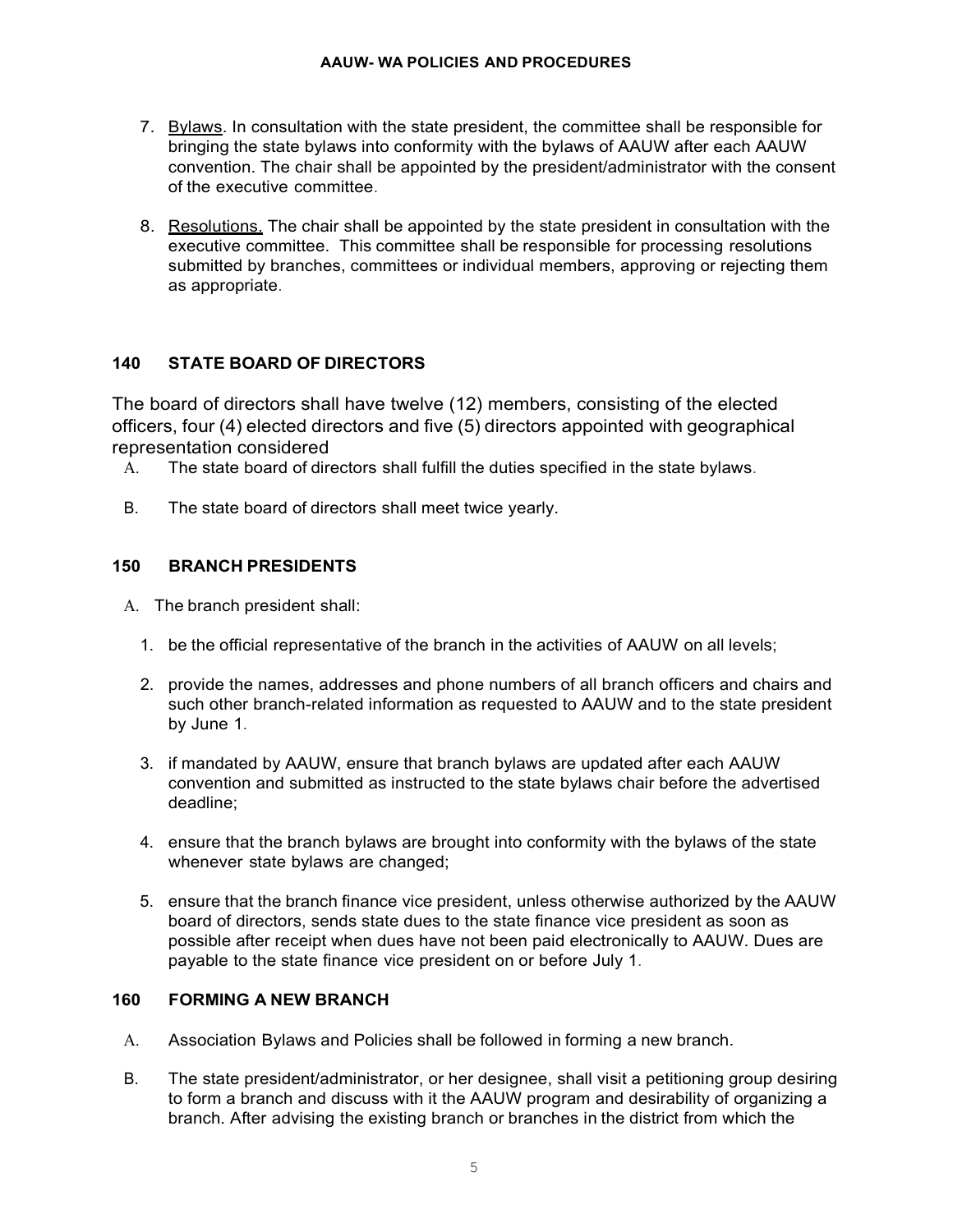- 7. Bylaws. In consultation with the state president, the committee shall be responsible for bringing the state bylaws into conformity with the bylaws of AAUW after each AAUW convention. The chair shall be appointed by the president/administrator with the consent of the executive committee.
- 8. Resolutions. The chair shall be appointed by the state president in consultation with the executive committee. This committee shall be responsible for processing resolutions submitted by branches, committees or individual members, approving or rejecting them as appropriate.

# 140 STATE BOARD OF DIRECTORS

The board of directors shall have twelve (12) members, consisting of the elected officers, four (4) elected directors and five (5) directors appointed with geographical representation considered

- A. The state board of directors shall fulfill the duties specified in the state bylaws.
- B. The state board of directors shall meet twice yearly.

# 150 BRANCH PRESIDENTS

- A. The branch president shall:
	- 1. be the official representative of the branch in the activities of AAUW on all levels;
	- 2. provide the names, addresses and phone numbers of all branch officers and chairs and such other branch-related information as requested to AAUW and to the state president by June 1.
	- 3. if mandated by AAUW, ensure that branch bylaws are updated after each AAUW convention and submitted as instructed to the state bylaws chair before the advertised deadline;
	- 4. ensure that the branch bylaws are brought into conformity with the bylaws of the state whenever state bylaws are changed;
	- 5. ensure that the branch finance vice president, unless otherwise authorized by the AAUW board of directors, sends state dues to the state finance vice president as soon as possible after receipt when dues have not been paid electronically to AAUW. Dues are payable to the state finance vice president on or before July 1.

# 160 FORMING A NEW BRANCH

- A. Association Bylaws and Policies shall be followed in forming a new branch.
- B. The state president/administrator, or her designee, shall visit a petitioning group desiring to form a branch and discuss with it the AAUW program and desirability of organizing a branch. After advising the existing branch or branches in the district from which the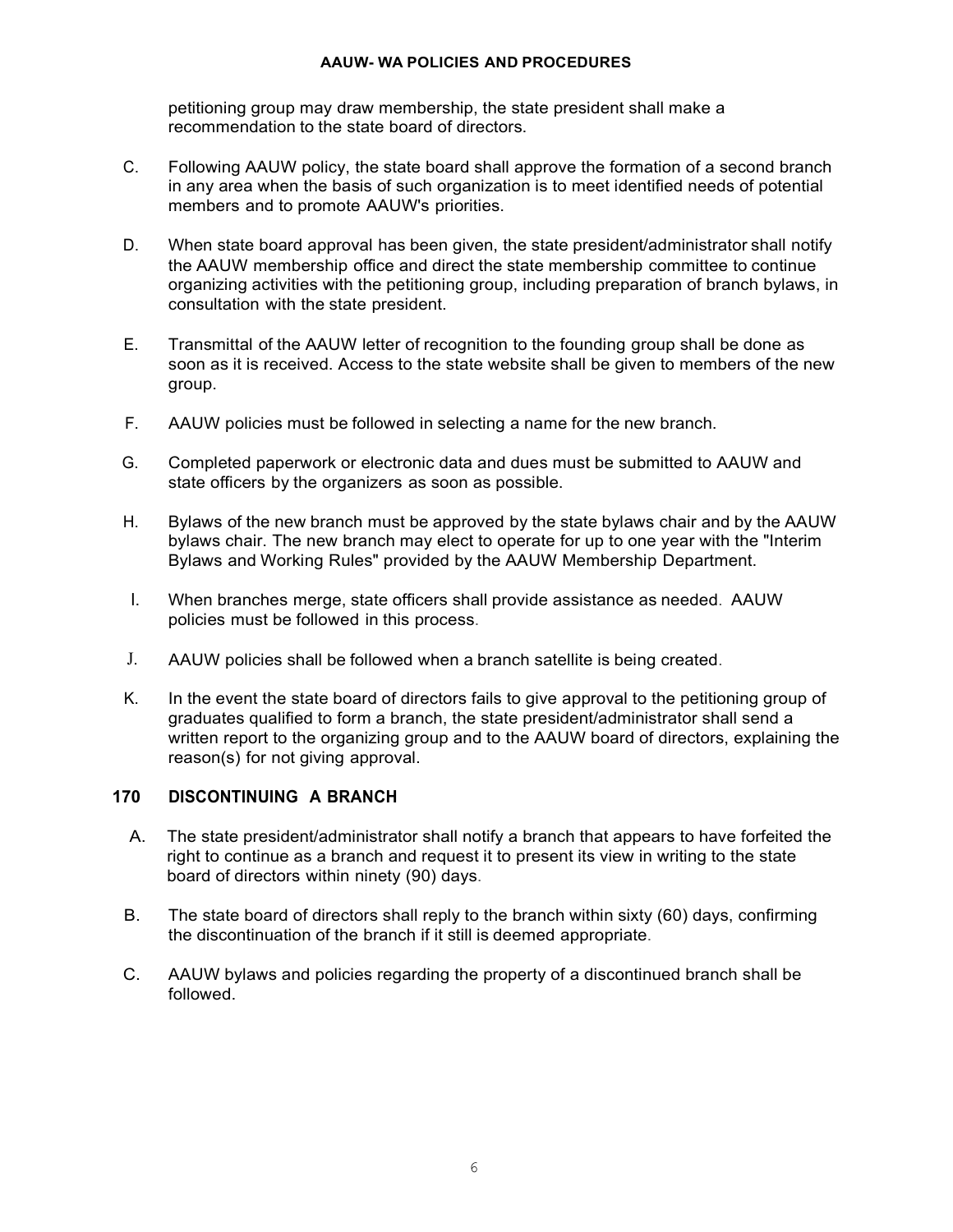petitioning group may draw membership, the state president shall make a recommendation to the state board of directors.

- C. Following AAUW policy, the state board shall approve the formation of a second branch in any area when the basis of such organization is to meet identified needs of potential members and to promote AAUW's priorities.
- D. When state board approval has been given, the state president/administrator shall notify the AAUW membership office and direct the state membership committee to continue organizing activities with the petitioning group, including preparation of branch bylaws, in consultation with the state president.
- E. Transmittal of the AAUW letter of recognition to the founding group shall be done as soon as it is received. Access to the state website shall be given to members of the new group.
- F. AAUW policies must be followed in selecting a name for the new branch.
- G. Completed paperwork or electronic data and dues must be submitted to AAUW and state officers by the organizers as soon as possible.
- H. Bylaws of the new branch must be approved by the state bylaws chair and by the AAUW bylaws chair. The new branch may elect to operate for up to one year with the "Interim Bylaws and Working Rules" provided by the AAUW Membership Department.
- I. When branches merge, state officers shall provide assistance as needed. AAUW policies must be followed in this process.
- J. AAUW policies shall be followed when a branch satellite is being created.
- K. In the event the state board of directors fails to give approval to the petitioning group of graduates qualified to form a branch, the state president/administrator shall send a written report to the organizing group and to the AAUW board of directors, explaining the reason(s) for not giving approval.

# 170 DISCONTINUING A BRANCH

- A. The state president/administrator shall notify a branch that appears to have forfeited the right to continue as a branch and request it to present its view in writing to the state board of directors within ninety (90) days.
- B. The state board of directors shall reply to the branch within sixty (60) days, confirming the discontinuation of the branch if it still is deemed appropriate.
- C. AAUW bylaws and policies regarding the property of a discontinued branch shall be followed.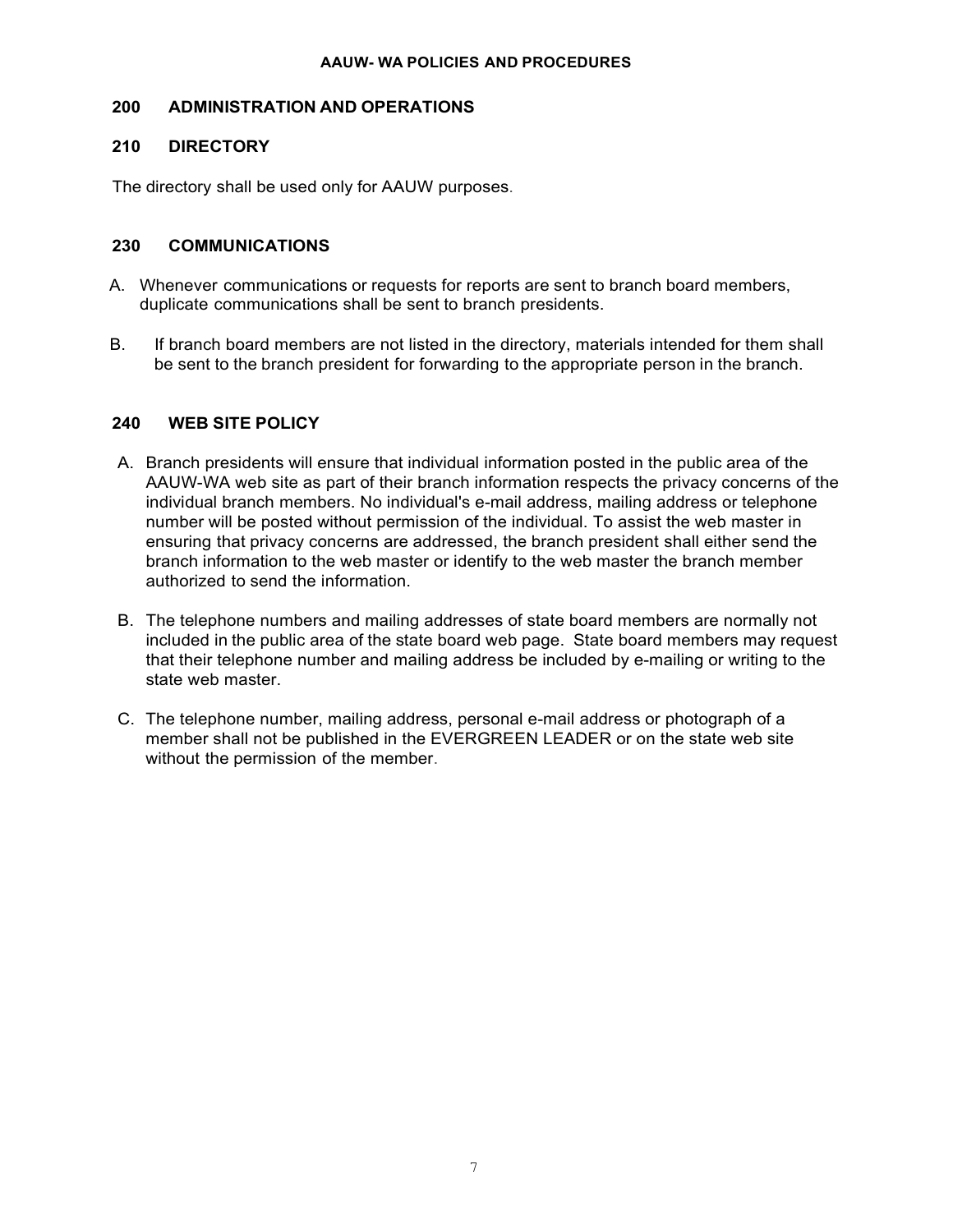# 200 ADMINISTRATION AND OPERATIONS

## 210 DIRECTORY

The directory shall be used only for AAUW purposes.

# 230 COMMUNICATIONS

- A. Whenever communications or requests for reports are sent to branch board members, duplicate communications shall be sent to branch presidents.
- B. If branch board members are not listed in the directory, materials intended for them shall be sent to the branch president for forwarding to the appropriate person in the branch.

# 240 WEB SITE POLICY

- A. Branch presidents will ensure that individual information posted in the public area of the AAUW-WA web site as part of their branch information respects the privacy concerns of the individual branch members. No individual's e-mail address, mailing address or telephone number will be posted without permission of the individual. To assist the web master in ensuring that privacy concerns are addressed, the branch president shall either send the branch information to the web master or identify to the web master the branch member authorized to send the information.
- B. The telephone numbers and mailing addresses of state board members are normally not included in the public area of the state board web page. State board members may request that their telephone number and mailing address be included by e-mailing or writing to the state web master.
- C. The telephone number, mailing address, personal e-mail address or photograph of a member shall not be published in the EVERGREEN LEADER or on the state web site without the permission of the member.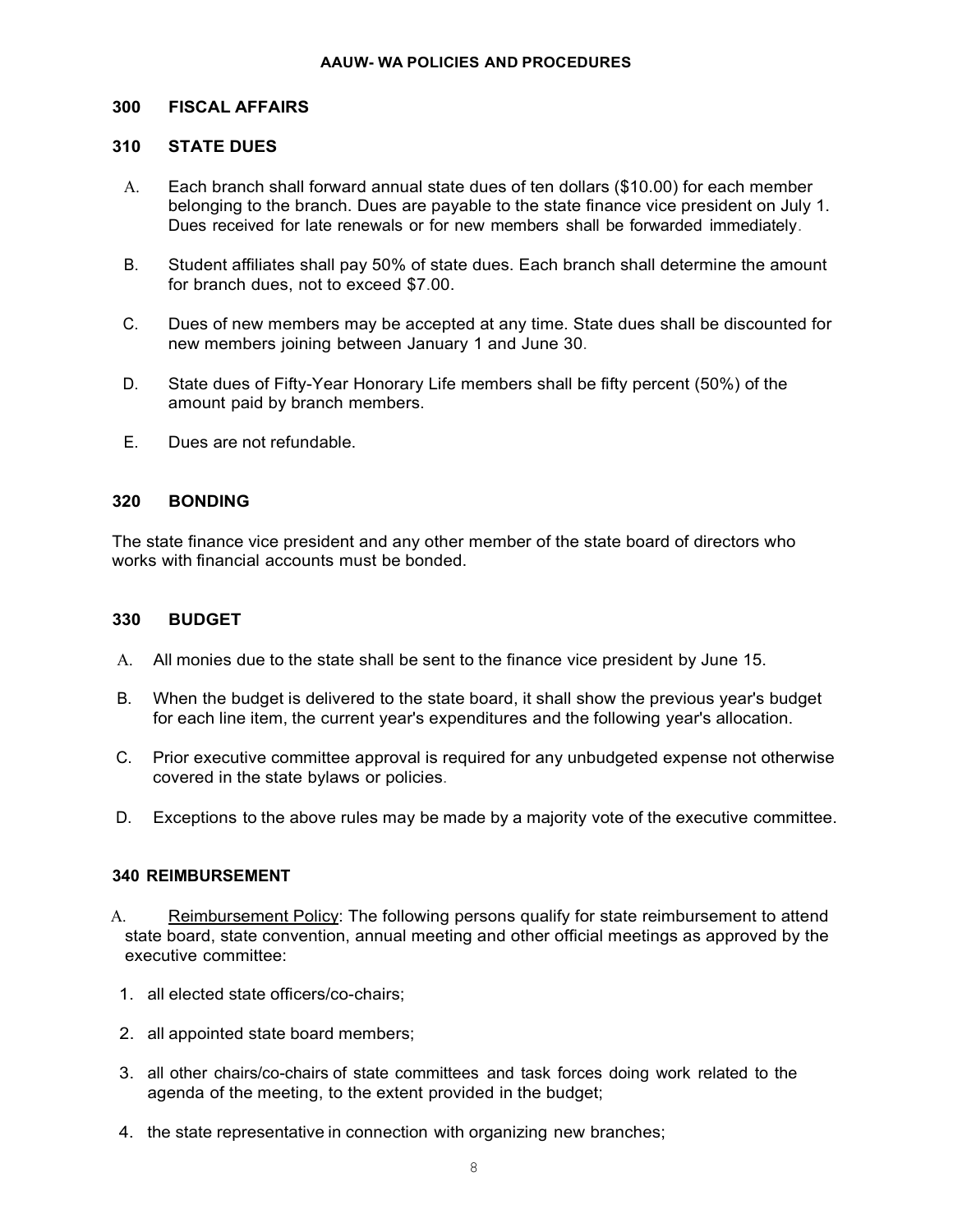#### 300 FISCAL AFFAIRS

#### 310 STATE DUES

- A. Each branch shall forward annual state dues of ten dollars (\$10.00) for each member belonging to the branch. Dues are payable to the state finance vice president on July 1. Dues received for late renewals or for new members shall be forwarded immediately.
- B. Student affiliates shall pay 50% of state dues. Each branch shall determine the amount for branch dues, not to exceed \$7.00.
- C. Dues of new members may be accepted at any time. State dues shall be discounted for new members joining between January 1 and June 30.
- D. State dues of Fifty-Year Honorary Life members shall be fifty percent (50%) of the amount paid by branch members.
- E. Dues are not refundable.

#### 320 BONDING

The state finance vice president and any other member of the state board of directors who works with financial accounts must be bonded.

#### 330 BUDGET

- A. All monies due to the state shall be sent to the finance vice president by June 15.
- B. When the budget is delivered to the state board, it shall show the previous year's budget for each line item, the current year's expenditures and the following year's allocation.
- C. Prior executive committee approval is required for any unbudgeted expense not otherwise covered in the state bylaws or policies.
- D. Exceptions to the above rules may be made by a majority vote of the executive committee.

#### 340 REIMBURSEMENT

- A. Reimbursement Policy: The following persons qualify for state reimbursement to attend state board, state convention, annual meeting and other official meetings as approved by the executive committee:
	- 1. all elected state officers/co-chairs;
- 2. all appointed state board members;
- 3. all other chairs/co-chairs of state committees and task forces doing work related to the agenda of the meeting, to the extent provided in the budget;
- 4. the state representative in connection with organizing new branches;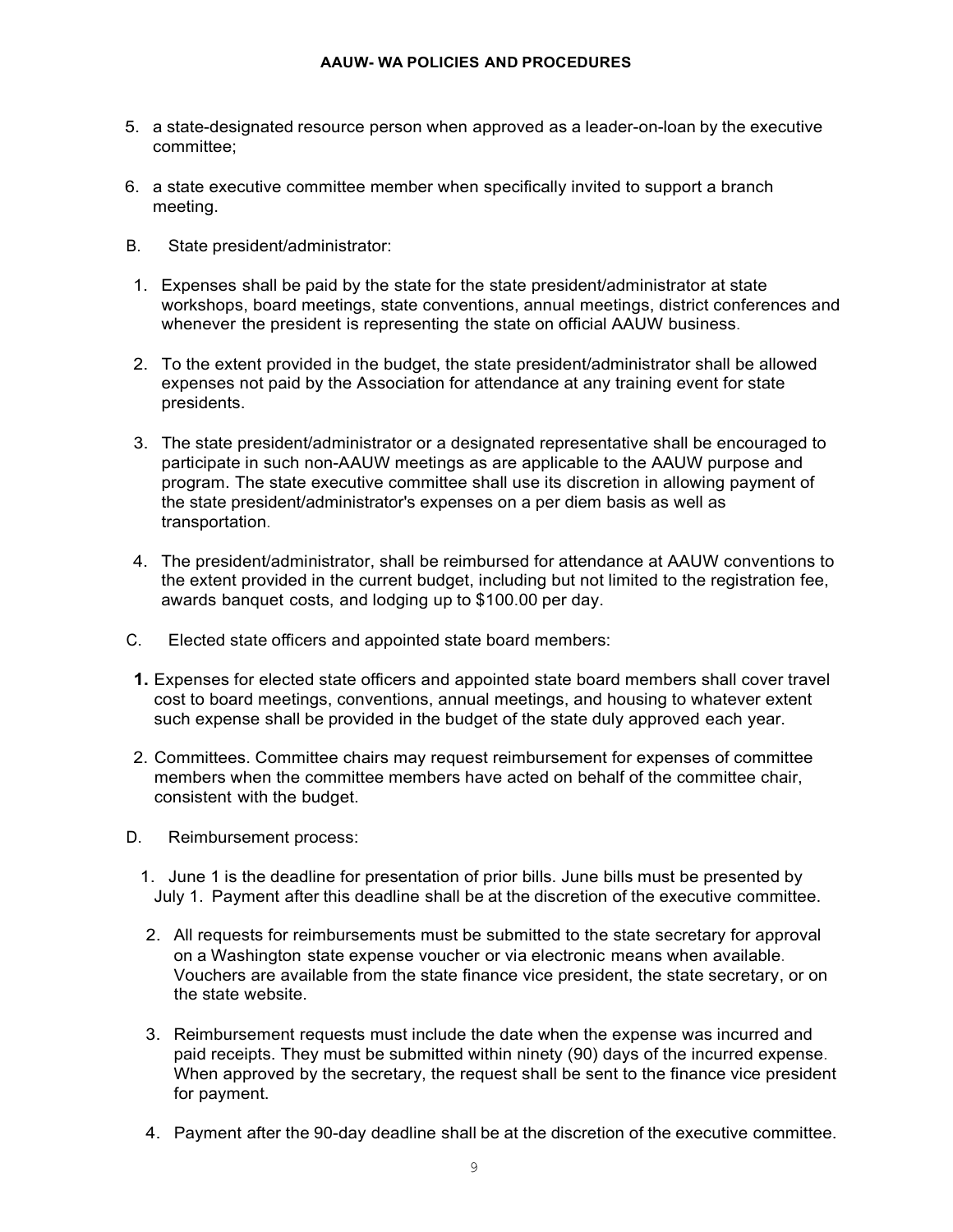- 5. a state-designated resource person when approved as a leader-on-loan by the executive committee;
- 6. a state executive committee member when specifically invited to support a branch meeting.
- B. State president/administrator:
- 1. Expenses shall be paid by the state for the state president/administrator at state workshops, board meetings, state conventions, annual meetings, district conferences and whenever the president is representing the state on official AAUW business.
- 2. To the extent provided in the budget, the state president/administrator shall be allowed expenses not paid by the Association for attendance at any training event for state presidents.
- 3. The state president/administrator or a designated representative shall be encouraged to participate in such non-AAUW meetings as are applicable to the AAUW purpose and program. The state executive committee shall use its discretion in allowing payment of the state president/administrator's expenses on a per diem basis as well as transportation.
- 4. The president/administrator, shall be reimbursed for attendance at AAUW conventions to the extent provided in the current budget, including but not limited to the registration fee, awards banquet costs, and lodging up to \$100.00 per day.
- C. Elected state officers and appointed state board members:
- 1. Expenses for elected state officers and appointed state board members shall cover travel cost to board meetings, conventions, annual meetings, and housing to whatever extent such expense shall be provided in the budget of the state duly approved each year.
- 2. Committees. Committee chairs may request reimbursement for expenses of committee members when the committee members have acted on behalf of the committee chair, consistent with the budget.
- D. Reimbursement process:
	- 1. June 1 is the deadline for presentation of prior bills. June bills must be presented by July 1. Payment after this deadline shall be at the discretion of the executive committee.
	- 2. All requests for reimbursements must be submitted to the state secretary for approval on a Washington state expense voucher or via electronic means when available. Vouchers are available from the state finance vice president, the state secretary, or on the state website.
	- 3. Reimbursement requests must include the date when the expense was incurred and paid receipts. They must be submitted within ninety (90) days of the incurred expense.<br>When approved by the secretary, the request shall be sent to the finance vice president for payment.
	- 4. Payment after the 90-day deadline shall be at the discretion of the executive committee.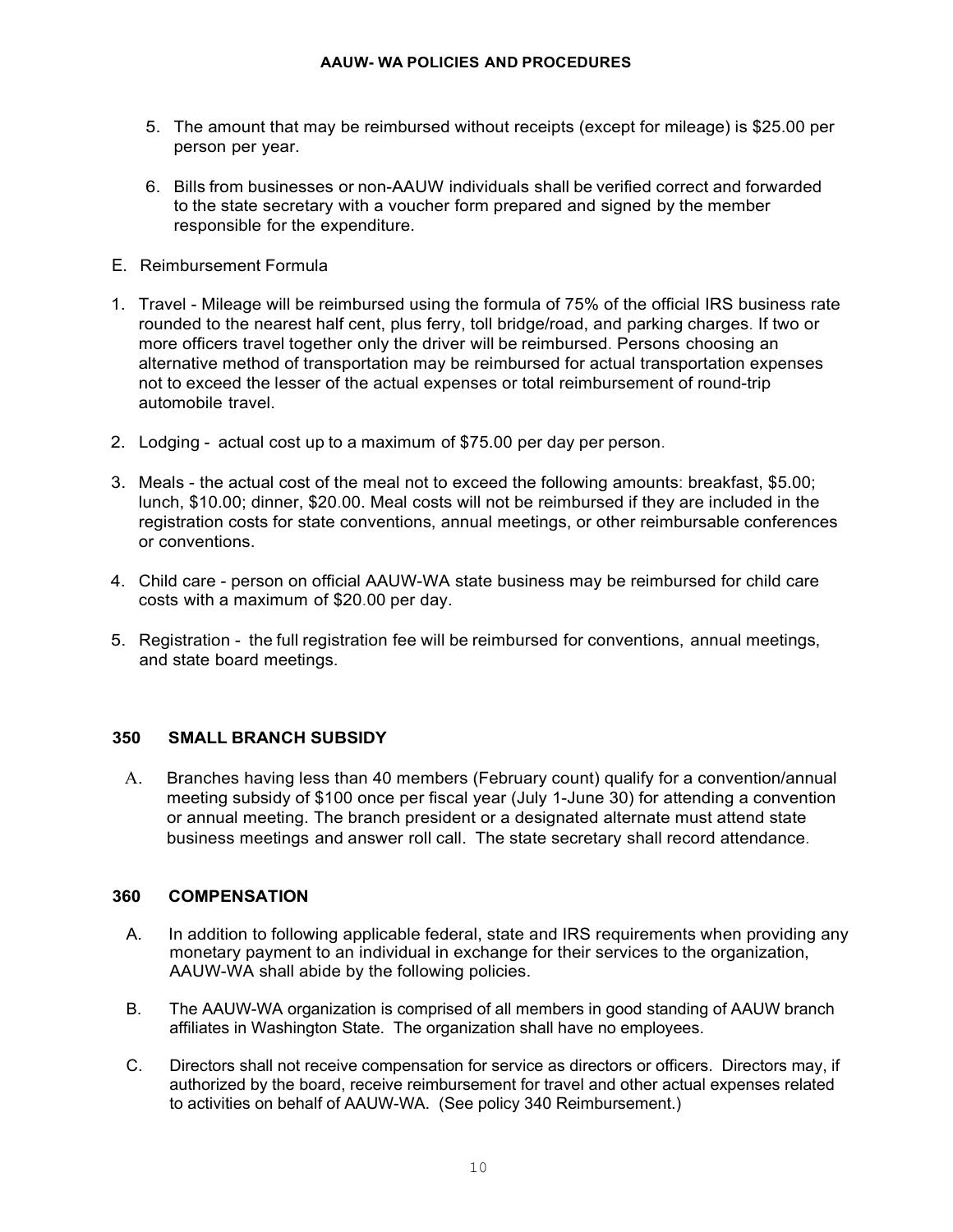- 5. The amount that may be reimbursed without receipts (except for mileage) is \$25.00 per person per year.
- 6. Bills from businesses or non-AAUW individuals shall be verified correct and forwarded to the state secretary with a voucher form prepared and signed by the member responsible for the expenditure.
- E. Reimbursement Formula
- 1. Travel Mileage will be reimbursed using the formula of 75% of the official IRS business rate rounded to the nearest half cent, plus ferry, toll bridge/road, and parking charges. If two or more officers travel together only the driver will be reimbursed. Persons choosing an alternative method of transportation may be reimbursed for actual transportation expenses not to exceed the lesser of the actual expenses or total reimbursement of round-trip automobile travel.
- 2. Lodging actual cost up to a maximum of \$75.00 per day per person.
- 3. Meals the actual cost of the meal not to exceed the following amounts: breakfast, \$5.00; lunch, \$10.00; dinner, \$20.00. Meal costs will not be reimbursed if they are included in the registration costs for state conventions, annual meetings, or other reimbursable conferences or conventions.
- 4. Child care person on official AAUW-WA state business may be reimbursed for child care costs with a maximum of \$20.00 per day.
- 5. Registration the full registration fee will be reimbursed for conventions, annual meetings, and state board meetings.

# 350 SMALL BRANCH SUBSIDY

A. Branches having less than 40 members (February count) qualify for a convention/annual meeting subsidy of \$100 once per fiscal year (July 1-June 30) for attending a convention or annual meeting. The branch president or a designated alternate must attend state business meetings and answer roll call. The state secretary shall record attendance.

#### 360 COMPENSATION

- A. In addition to following applicable federal, state and IRS requirements when providing any monetary payment to an individual in exchange for their services to the organization, AAUW-WA shall abide by the following policies.
- B. The AAUW-WA organization is comprised of all members in good standing of AAUW branch affiliates in Washington State. The organization shall have no employees.
- C. Directors shall not receive compensation for service as directors or officers. Directors may, if authorized by the board, receive reimbursement for travel and other actual expenses related to activities on behalf of AAUW-WA. (See policy 340 Reimbursement.)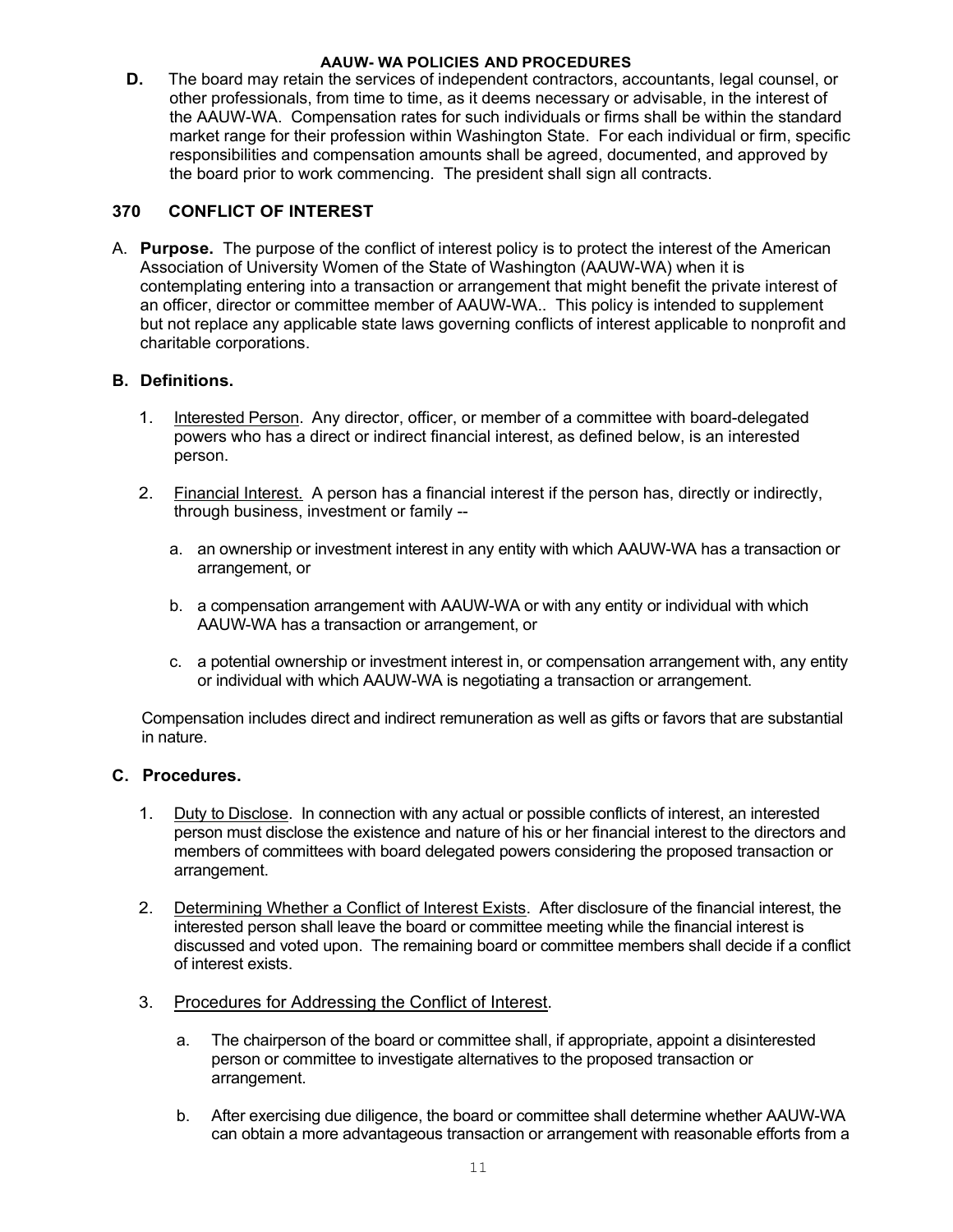D. The board may retain the services of independent contractors, accountants, legal counsel, or other professionals, from time to time, as it deems necessary or advisable, in the interest of the AAUW-WA. Compensation rates for such individuals or firms shall be within the standard market range for their profession within Washington State. For each individual or firm, specific responsibilities and compensation amounts shall be agreed, documented, and approved by the board prior to work commencing. The president shall sign all contracts.

# 370 CONFLICT OF INTEREST

A. Purpose. The purpose of the conflict of interest policy is to protect the interest of the American Association of University Women of the State of Washington (AAUW-WA) when it is contemplating entering into a transaction or arrangement that might benefit the private interest of an officer, director or committee member of AAUW-WA.. This policy is intended to supplement but not replace any applicable state laws governing conflicts of interest applicable to nonprofit and charitable corporations.

# B. Definitions.

- 1. Interested Person. Any director, officer, or member of a committee with board-delegated powers who has a direct or indirect financial interest, as defined below, is an interested person.
- 2. Financial Interest. A person has a financial interest if the person has, directly or indirectly, through business, investment or family -
	- a. an ownership or investment interest in any entity with which AAUW-WA has a transaction or arrangement, or
	- b. a compensation arrangement with AAUW-WA or with any entity or individual with which AAUW-WA has a transaction or arrangement, or
	- c. a potential ownership or investment interest in, or compensation arrangement with, any entity or individual with which AAUW-WA is negotiating a transaction or arrangement.

Compensation includes direct and indirect remuneration as well as gifts or favors that are substantial in nature.

# C. Procedures.

- 1. Duty to Disclose. In connection with any actual or possible conflicts of interest, an interested person must disclose the existence and nature of his or her financial interest to the directors and members of committees with board delegated powers considering the proposed transaction or arrangement.
- 2. Determining Whether a Conflict of Interest Exists. After disclosure of the financial interest, the interested person shall leave the board or committee meeting while the financial interest is discussed and voted upon. The remaining board or committee members shall decide if a conflict of interest exists.
- 3. Procedures for Addressing the Conflict of Interest.
	- a. The chairperson of the board or committee shall, if appropriate, appoint a disinterested person or committee to investigate alternatives to the proposed transaction or arrangement.
	- b. After exercising due diligence, the board or committee shall determine whether AAUW-WA can obtain a more advantageous transaction or arrangement with reasonable efforts from a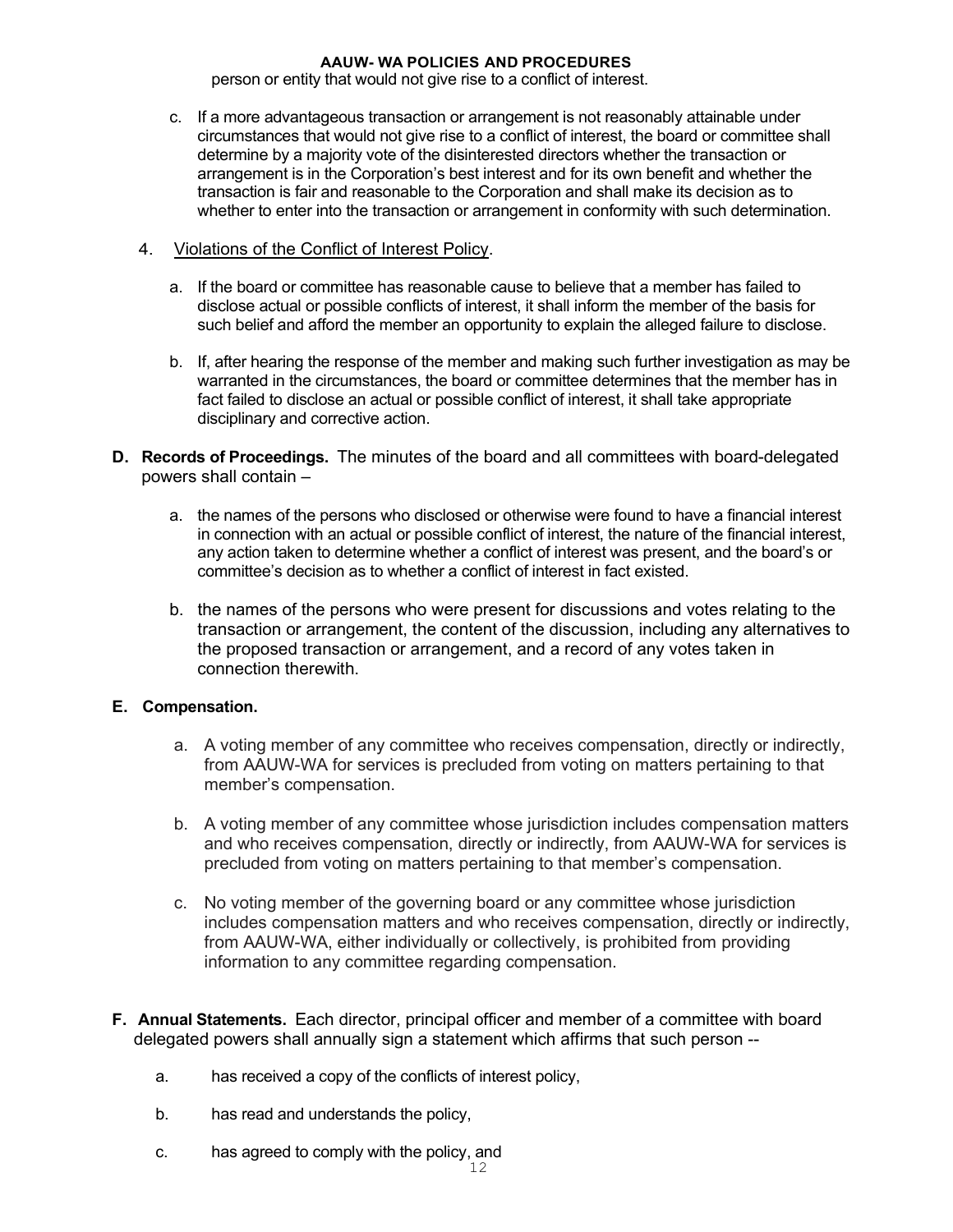person or entity that would not give rise to a conflict of interest.

- c. If a more advantageous transaction or arrangement is not reasonably attainable under circumstances that would not give rise to a conflict of interest, the board or committee shall determine by a majority vote of the disinterested directors whether the transaction or arrangement is in the Corporation's best interest and for its own benefit and whether the transaction is fair and reasonable to the Corporation and shall make its decision as to whether to enter into the transaction or arrangement in conformity with such determination.
- 4. Violations of the Conflict of Interest Policy.
	- a. If the board or committee has reasonable cause to believe that a member has failed to disclose actual or possible conflicts of interest, it shall inform the member of the basis for such belief and afford the member an opportunity to explain the alleged failure to disclose.
	- b. If, after hearing the response of the member and making such further investigation as may be warranted in the circumstances, the board or committee determines that the member has in fact failed to disclose an actual or possible conflict of interest, it shall take appropriate disciplinary and corrective action.
- D. Records of Proceedings. The minutes of the board and all committees with board-delegated powers shall contain –
	- a. the names of the persons who disclosed or otherwise were found to have a financial interest in connection with an actual or possible conflict of interest, the nature of the financial interest, any action taken to determine whether a conflict of interest was present, and the board's or committee's decision as to whether a conflict of interest in fact existed.
	- b. the names of the persons who were present for discussions and votes relating to the transaction or arrangement, the content of the discussion, including any alternatives to the proposed transaction or arrangement, and a record of any votes taken in connection therewith.

# E. Compensation.

- a. A voting member of any committee who receives compensation, directly or indirectly, from AAUW-WA for services is precluded from voting on matters pertaining to that member's compensation.
- b. A voting member of any committee whose jurisdiction includes compensation matters and who receives compensation, directly or indirectly, from AAUW-WA for services is precluded from voting on matters pertaining to that member's compensation.
- c. No voting member of the governing board or any committee whose jurisdiction includes compensation matters and who receives compensation, directly or indirectly, from AAUW-WA, either individually or collectively, is prohibited from providing information to any committee regarding compensation.
- F. Annual Statements. Each director, principal officer and member of a committee with board delegated powers shall annually sign a statement which affirms that such person -
	- a. has received a copy of the conflicts of interest policy,
	- b. has read and understands the policy,
	- c. has agreed to comply with the policy, and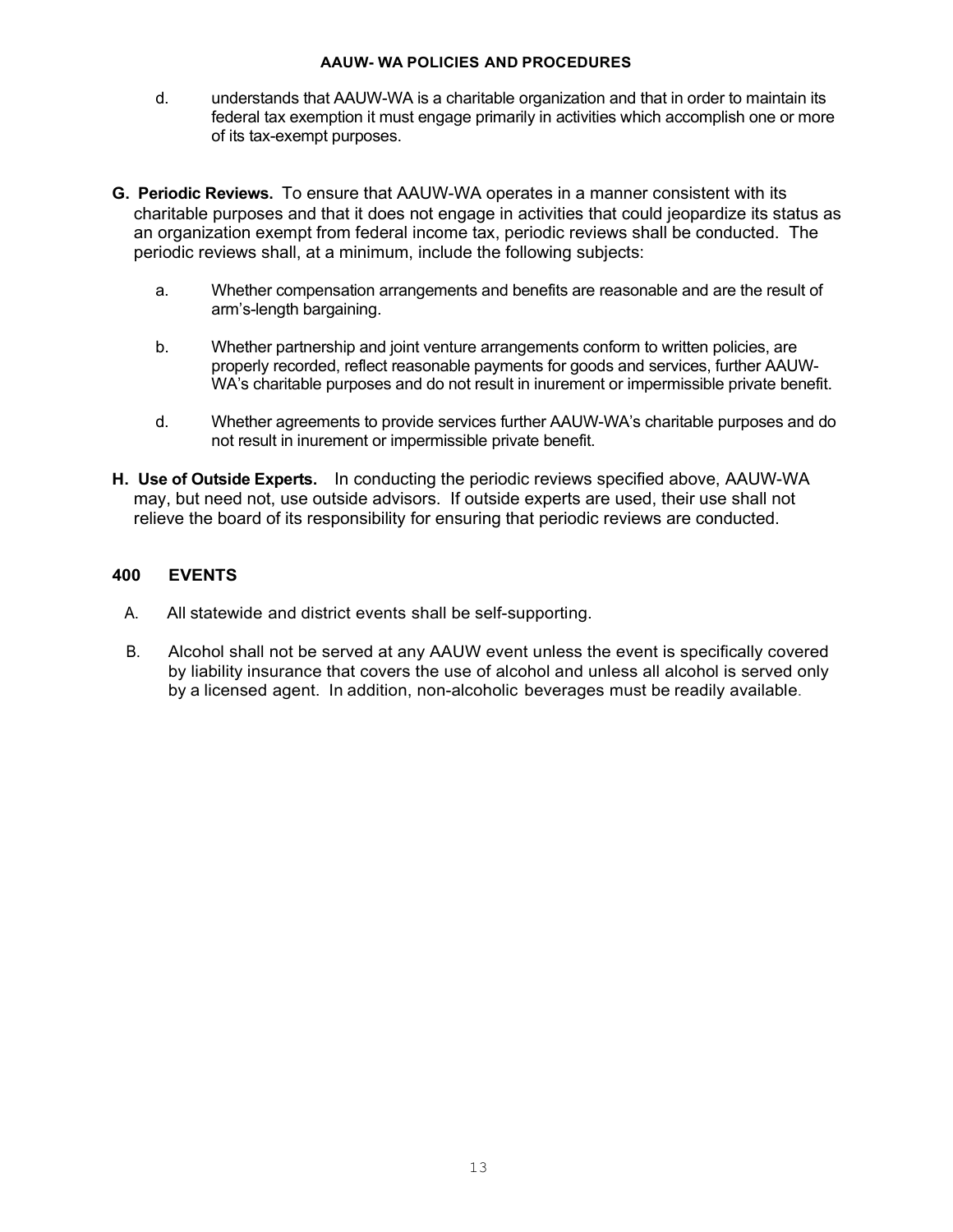- d. understands that AAUW-WA is a charitable organization and that in order to maintain its federal tax exemption it must engage primarily in activities which accomplish one or more of its tax-exempt purposes.
- G. Periodic Reviews. To ensure that AAUW-WA operates in a manner consistent with its charitable purposes and that it does not engage in activities that could jeopardize its status as an organization exempt from federal income tax, periodic reviews shall be conducted. The periodic reviews shall, at a minimum, include the following subjects:
	- a. Whether compensation arrangements and benefits are reasonable and are the result of arm's-length bargaining.
	- b. Whether partnership and joint venture arrangements conform to written policies, are properly recorded, reflect reasonable payments for goods and services, further AAUW-WA's charitable purposes and do not result in inurement or impermissible private benefit.
	- d. Whether agreements to provide services further AAUW-WA's charitable purposes and do not result in inurement or impermissible private benefit.
- H. Use of Outside Experts. In conducting the periodic reviews specified above, AAUW-WA may, but need not, use outside advisors. If outside experts are used, their use shall not relieve the board of its responsibility for ensuring that periodic reviews are conducted.

# 400 EVENTS

- A. All statewide and district events shall be self-supporting.
- B. Alcohol shall not be served at any AAUW event unless the event is specifically covered by liability insurance that covers the use of alcohol and unless all alcohol is served only by a licensed agent. In addition, non-alcoholic beverages must be readily available.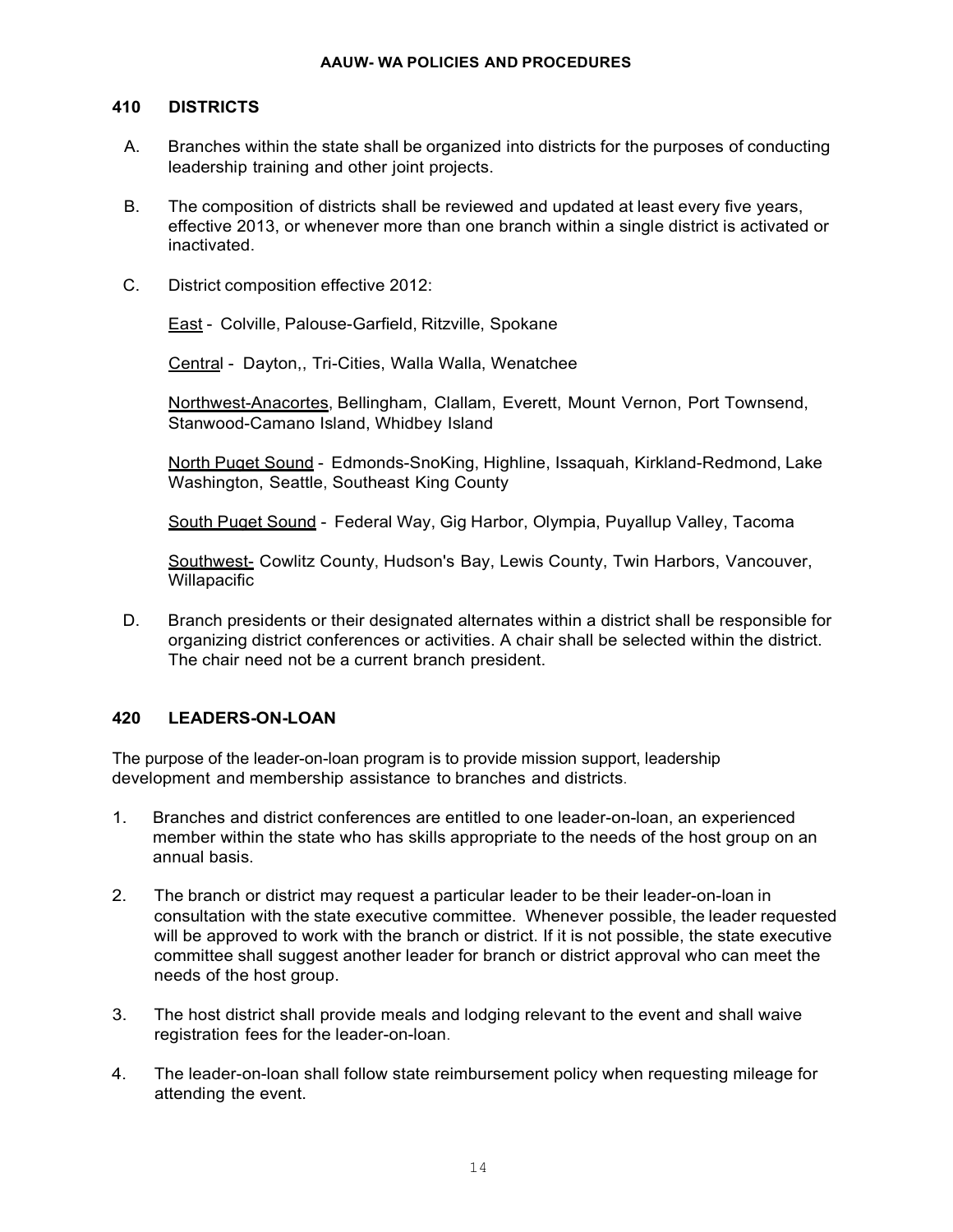# 410 DISTRICTS

- A. Branches within the state shall be organized into districts for the purposes of conducting leadership training and other joint projects.
- B. The composition of districts shall be reviewed and updated at least every five years, effective 2013, or whenever more than one branch within a single district is activated or inactivated.
- C. District composition effective 2012:

East - Colville, Palouse-Garfield, Ritzville, Spokane

Central - Dayton,, Tri-Cities, Walla Walla, Wenatchee

Northwest-Anacortes, Bellingham, Clallam, Everett, Mount Vernon, Port Townsend, Stanwood-Camano Island, Whidbey Island

North Puget Sound - Edmonds-SnoKing, Highline, Issaquah, Kirkland-Redmond, Lake Washington, Seattle, Southeast King County

South Puget Sound - Federal Way, Gig Harbor, Olympia, Puyallup Valley, Tacoma

Southwest- Cowlitz County, Hudson's Bay, Lewis County, Twin Harbors, Vancouver, **Willapacific** 

D. Branch presidents or their designated alternates within a district shall be responsible for organizing district conferences or activities. A chair shall be selected within the district. The chair need not be a current branch president.

# 420 LEADERS-ON-LOAN

The purpose of the leader-on-loan program is to provide mission support, leadership development and membership assistance to branches and districts.

- 1. Branches and district conferences are entitled to one leader-on-loan, an experienced member within the state who has skills appropriate to the needs of the host group on an annual basis.
- 2. The branch or district may request a particular leader to be their leader-on-loan in consultation with the state executive committee. Whenever possible, the leader requested will be approved to work with the branch or district. If it is not possible, the state executive committee shall suggest another leader for branch or district approval who can meet the needs of the host group.
- 3. The host district shall provide meals and lodging relevant to the event and shall waive registration fees for the leader-on-loan.
- 4. The leader-on-loan shall follow state reimbursement policy when requesting mileage for attending the event.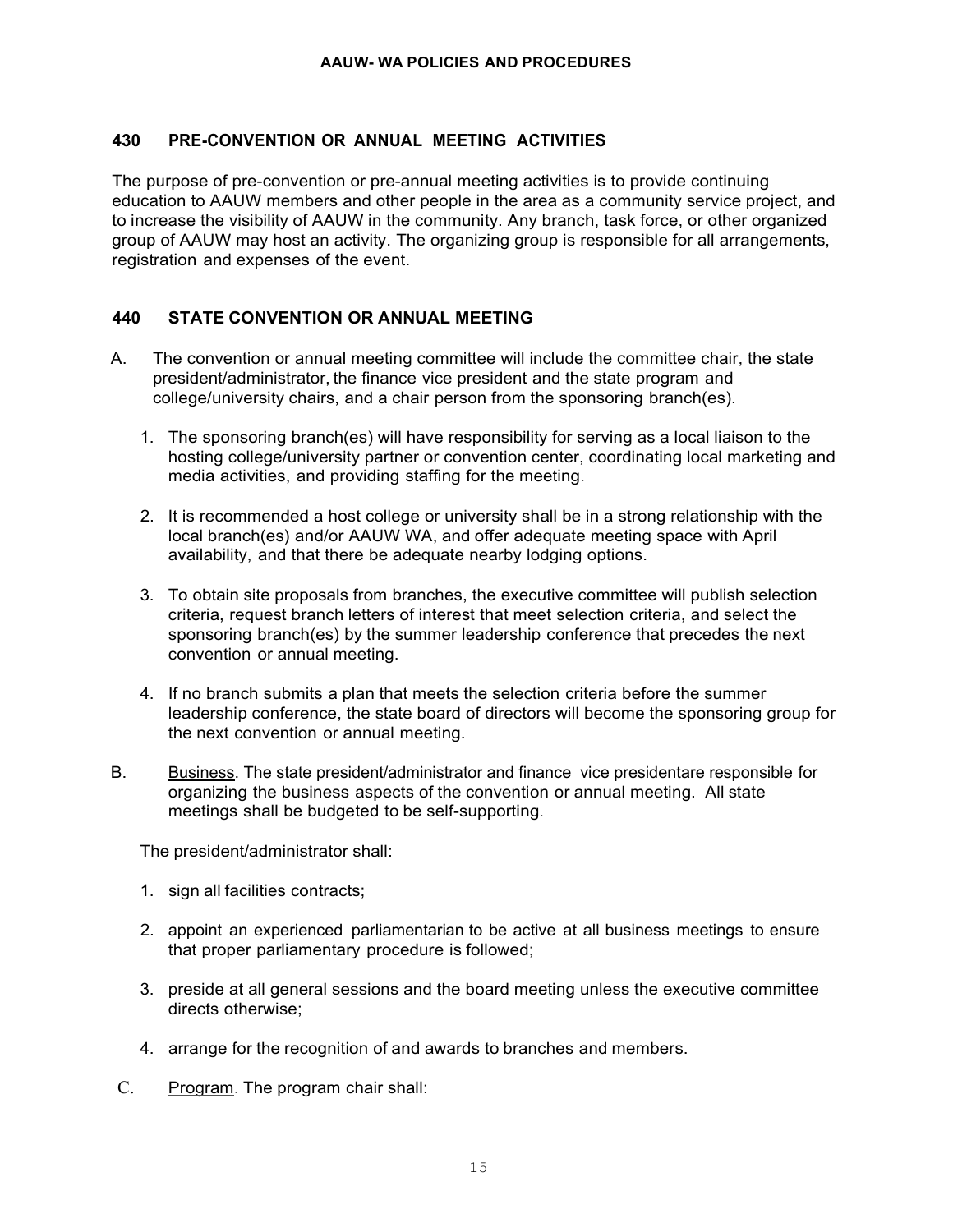# 430 PRE-CONVENTION OR ANNUAL MEETING ACTIVITIES

The purpose of pre-convention or pre-annual meeting activities is to provide continuing education to AAUW members and other people in the area as a community service project, and to increase the visibility of AAUW in the community. Any branch, task force, or other organized group of AAUW may host an activity. The organizing group is responsible for all arrangements, registration and expenses of the event.

# 440 STATE CONVENTION OR ANNUAL MEETING

- A. The convention or annual meeting committee will include the committee chair, the state president/administrator, the finance vice president and the state program and college/university chairs, and a chair person from the sponsoring branch(es).
	- 1. The sponsoring branch(es) will have responsibility for serving as a local liaison to the hosting college/university partner or convention center, coordinating local marketing and media activities, and providing staffing for the meeting.
	- 2. It is recommended a host college or university shall be in a strong relationship with the local branch(es) and/or AAUW WA, and offer adequate meeting space with April availability, and that there be adequate nearby lodging options.
	- 3. To obtain site proposals from branches, the executive committee will publish selection criteria, request branch letters of interest that meet selection criteria, and select the sponsoring branch(es) by the summer leadership conference that precedes the next convention or annual meeting.
	- 4. If no branch submits a plan that meets the selection criteria before the summer leadership conference, the state board of directors will become the sponsoring group for the next convention or annual meeting.
- B. Business. The state president/administrator and finance vice presidentare responsible for organizing the business aspects of the convention or annual meeting. All state meetings shall be budgeted to be self-supporting.

The president/administrator shall:

- 1. sign all facilities contracts;
- 2. appoint an experienced parliamentarian to be active at all business meetings to ensure that proper parliamentary procedure is followed;
- 3. preside at all general sessions and the board meeting unless the executive committee directs otherwise;
- 4. arrange for the recognition of and awards to branches and members.
- C. Program. The program chair shall: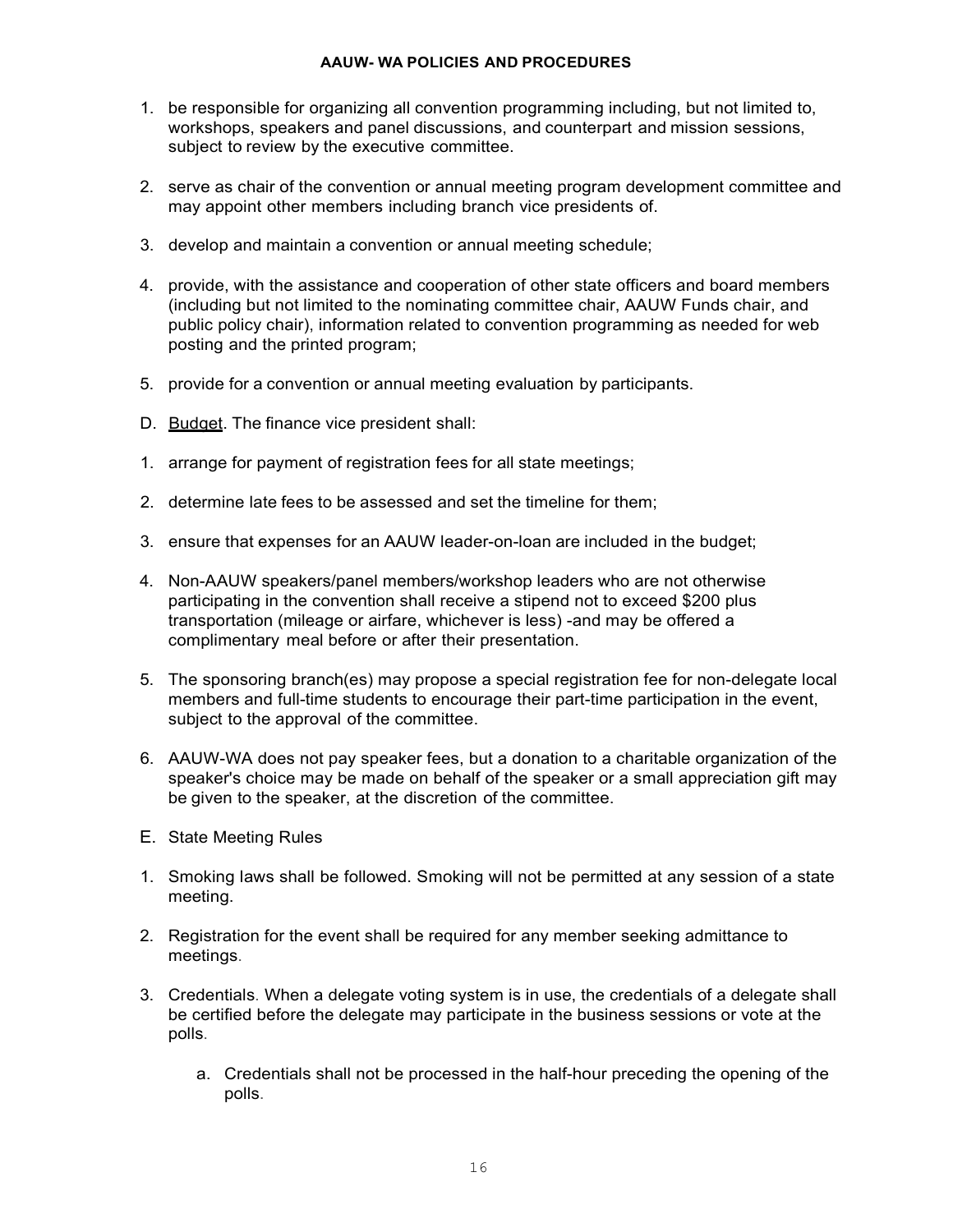- 1. be responsible for organizing all convention programming including, but not limited to, workshops, speakers and panel discussions, and counterpart and mission sessions, subject to review by the executive committee.
- 2. serve as chair of the convention or annual meeting program development committee and may appoint other members including branch vice presidents of.
- 3. develop and maintain a convention or annual meeting schedule;
- 4. provide, with the assistance and cooperation of other state officers and board members (including but not limited to the nominating committee chair, AAUW Funds chair, and public policy chair), information related to convention programming as needed for web posting and the printed program;
- 5. provide for a convention or annual meeting evaluation by participants.
- D. Budget. The finance vice president shall:
- 1. arrange for payment of registration fees for all state meetings;
- 2. determine late fees to be assessed and set the timeline for them;
- 3. ensure that expenses for an AAUW leader-on-loan are included in the budget;
- 4. Non-AAUW speakers/panel members/workshop leaders who are not otherwise participating in the convention shall receive a stipend not to exceed \$200 plus transportation (mileage or airfare, whichever is less) -and may be offered a complimentary meal before or after their presentation.
- 5. The sponsoring branch(es) may propose a special registration fee for non-delegate local members and full-time students to encourage their part-time participation in the event, subject to the approval of the committee.
- 6. AAUW-WA does not pay speaker fees, but a donation to a charitable organization of the speaker's choice may be made on behalf of the speaker or a small appreciation gift may be given to the speaker, at the discretion of the committee.
- E. State Meeting Rules
- 1. Smoking laws shall be followed. Smoking will not be permitted at any session of a state meeting.
- 2. Registration for the event shall be required for any member seeking admittance to meetings.
- 3. Credentials. When a delegate voting system is in use, the credentials of a delegate shall be certified before the delegate may participate in the business sessions or vote at the polls.<br>a. Credentials shall not be processed in the half-hour preceding the opening of the
	- polls.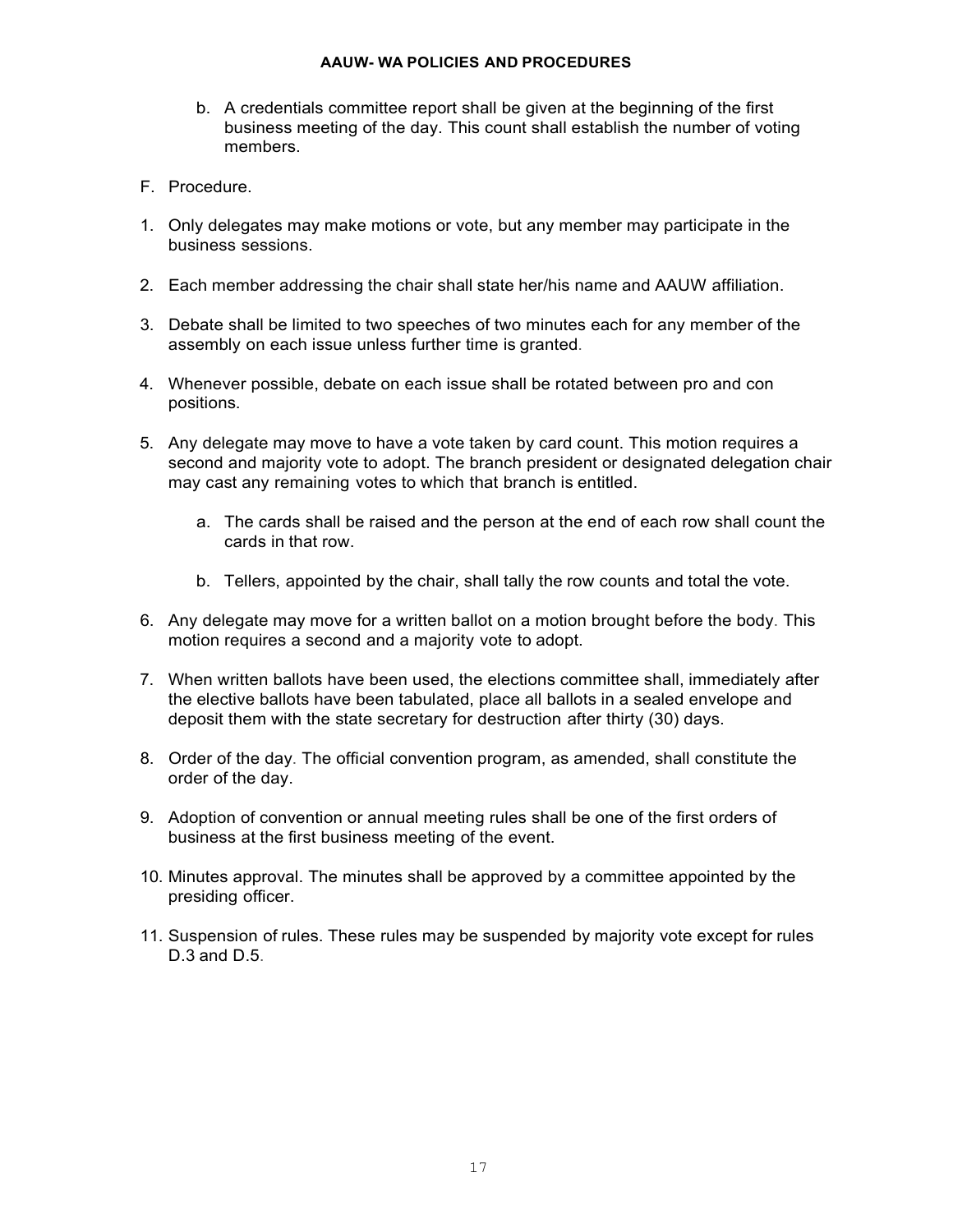- b. A credentials committee report shall be given at the beginning of the first business meeting of the day. This count shall establish the number of voting members.
- F. Procedure.
- 1. Only delegates may make motions or vote, but any member may participate in the business sessions.
- 2. Each member addressing the chair shall state her/his name and AAUW affiliation.
- 3. Debate shall be limited to two speeches of two minutes each for any member of the assembly on each issue unless further time is granted.
- 4. Whenever possible, debate on each issue shall be rotated between pro and con positions.
- 5. Any delegate may move to have a vote taken by card count. This motion requires a second and majority vote to adopt. The branch president or designated delegation chair may cast any remaining votes to which that branch is entitled.
	- a. The cards shall be raised and the person at the end of each row shall count the cards in that row.
	- b. Tellers, appointed by the chair, shall tally the row counts and total the vote.
- 6. Any delegate may move for a written ballot on a motion brought before the body. This motion requires a second and a majority vote to adopt.
- 7. When written ballots have been used, the elections committee shall, immediately after the elective ballots have been tabulated, place all ballots in a sealed envelope and deposit them with the state secretary for destruction after thirty (30) days.
- 8. Order of the day. The official convention program, as amended, shall constitute the order of the day.
- 9. Adoption of convention or annual meeting rules shall be one of the first orders of business at the first business meeting of the event.
- 10. Minutes approval. The minutes shall be approved by a committee appointed by the presiding officer.
- 11. Suspension of rules. These rules may be suspended by majority vote except for rules D.3 and D.5.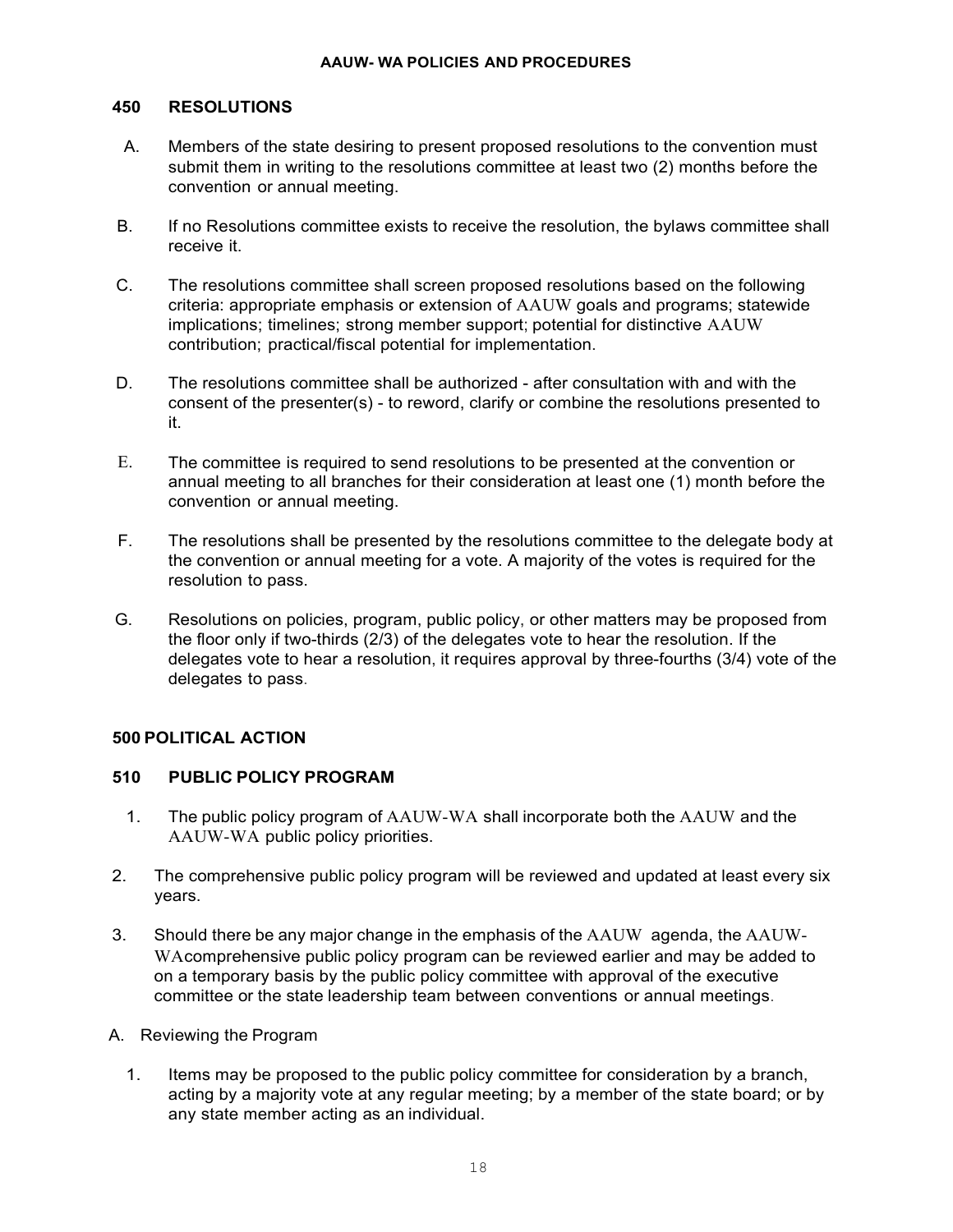# 450 RESOLUTIONS

- A. Members of the state desiring to present proposed resolutions to the convention must submit them in writing to the resolutions committee at least two (2) months before the convention or annual meeting.
- B. If no Resolutions committee exists to receive the resolution, the bylaws committee shall receive it.
- C. The resolutions committee shall screen proposed resolutions based on the following criteria: appropriate emphasis or extension of AAUW goals and programs; statewide implications; timelines; strong member support; potential for distinctive AAUW contribution; practical/fiscal potential for implementation.
- D. The resolutions committee shall be authorized after consultation with and with the consent of the presenter(s) - to reword, clarify or combine the resolutions presented to it.
- E. The committee is required to send resolutions to be presented at the convention or annual meeting to all branches for their consideration at least one (1) month before the convention or annual meeting.
- F. The resolutions shall be presented by the resolutions committee to the delegate body at the convention or annual meeting for a vote. A majority of the votes is required for the resolution to pass.
- G. Resolutions on policies, program, public policy, or other matters may be proposed from the floor only if two-thirds (2/3) of the delegates vote to hear the resolution. If the delegates vote to hear a resolution, it requires approval by three-fourths (3/4) vote of the delegates to pass.

# 500 POLITICAL ACTION

# 510 PUBLIC POLICY PROGRAM

- 1. The public policy program of AAUW-WA shall incorporate both the AAUW and the AAUW-WA public policy priorities.
- 2. The comprehensive public policy program will be reviewed and updated at least every six years.
- 3. Should there be any major change in the emphasis of the AAUW agenda, the AAUW-WA comprehensive public policy program can be reviewed earlier and may be added to on a temporary basis by the public policy committee with approval of the executive committee or the state leadership team between conventions or annual meetings.
- A. Reviewing the Program
	- 1. Items may be proposed to the public policy committee for consideration by a branch, acting by a majority vote at any regular meeting; by a member of the state board; or by any state member acting as an individual.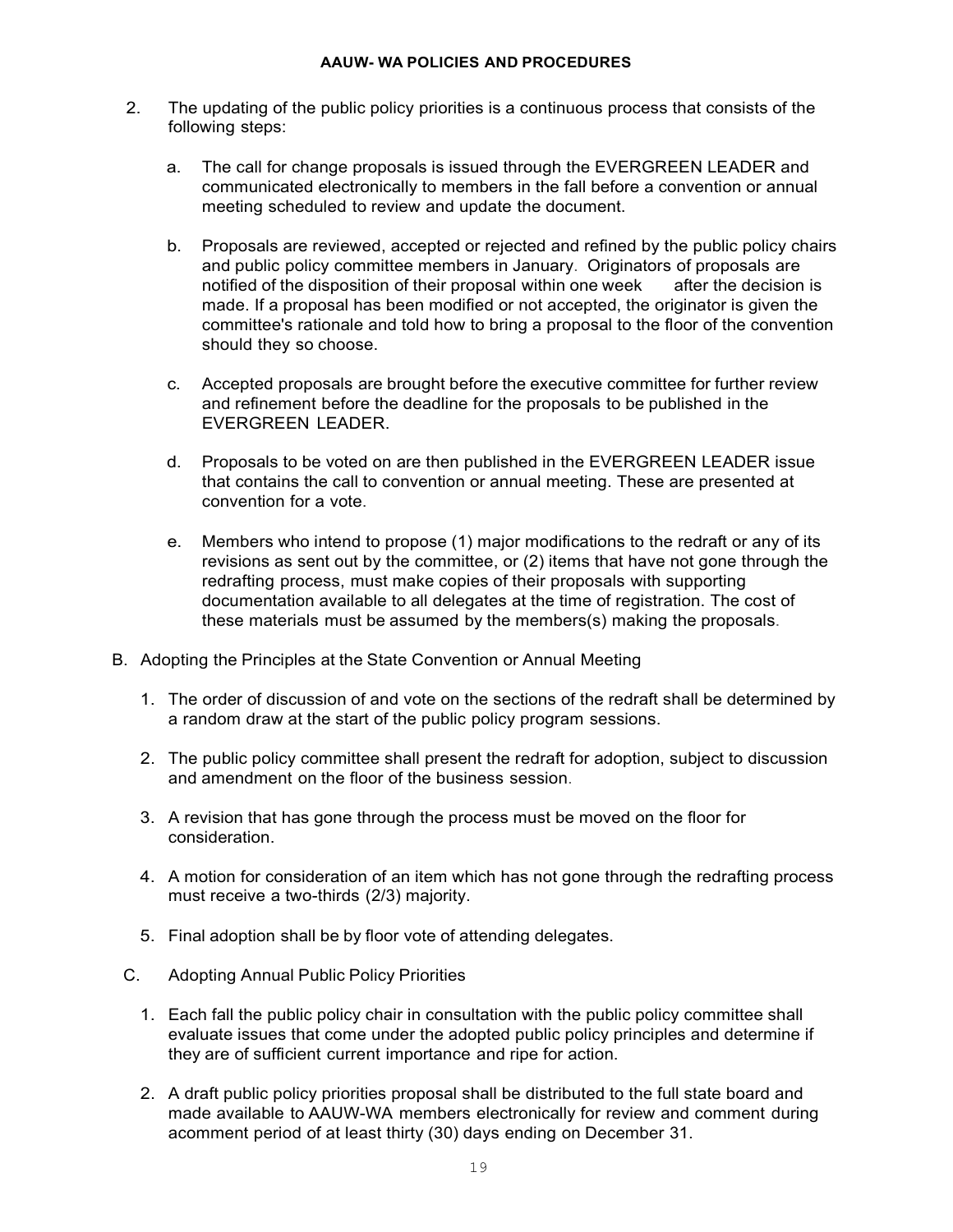- 2. The updating of the public policy priorities is a continuous process that consists of the following steps:
	- a. The call for change proposals is issued through the EVERGREEN LEADER and communicated electronically to members in the fall before a convention or annual meeting scheduled to review and update the document.
	- b. Proposals are reviewed, accepted or rejected and refined by the public policy chairs and public policy committee members in January. Originators of proposals are notified of the disposition of their proposal within one week after the decision is made. If a proposal has been modified or not accepted, the originator is given the committee's rationale and told how to bring a proposal to the floor of the convention should they so choose.
	- c. Accepted proposals are brought before the executive committee for further review and refinement before the deadline for the proposals to be published in the EVERGREEN LEADER.
	- d. Proposals to be voted on are then published in the EVERGREEN LEADER issue that contains the call to convention or annual meeting. These are presented at convention for a vote.
	- e. Members who intend to propose (1) major modifications to the redraft or any of its revisions as sent out by the committee, or (2) items that have not gone through the redrafting process, must make copies of their proposals with supporting documentation available to all delegates at the time of registration. The cost of these materials must be assumed by the members(s) making the proposals.
- B. Adopting the Principles at the State Convention or Annual Meeting
	- 1. The order of discussion of and vote on the sections of the redraft shall be determined by a random draw at the start of the public policy program sessions.
	- 2. The public policy committee shall present the redraft for adoption, subject to discussion and amendment on the floor of the business session.
	- 3. A revision that has gone through the process must be moved on the floor for consideration.
	- 4. A motion for consideration of an item which has not gone through the redrafting process must receive a two-thirds (2/3) majority.
	- 5. Final adoption shall be by floor vote of attending delegates.
	- C. Adopting Annual Public Policy Priorities
		- 1. Each fall the public policy chair in consultation with the public policy committee shall evaluate issues that come under the adopted public policy principles and determine if they are of sufficient current importance and ripe for action.
		- 2. A draft public policy priorities proposal shall be distributed to the full state board and made available to AAUW-WA members electronically for review and comment during a comment period of at least thirty (30) days ending on December 31.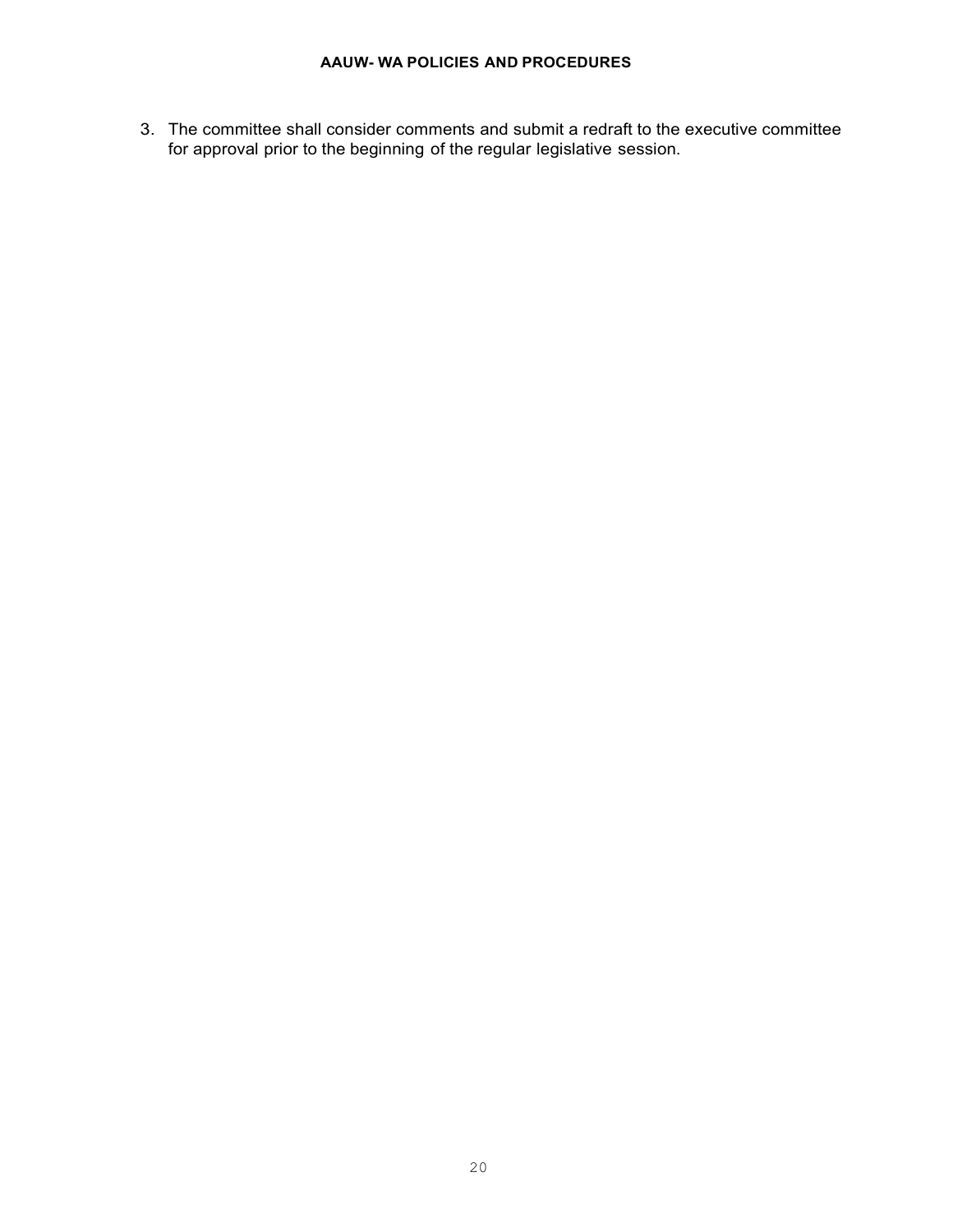3. The committee shall consider comments and submit a redraft to the executive committee for approval prior to the beginning of the regular legislative session.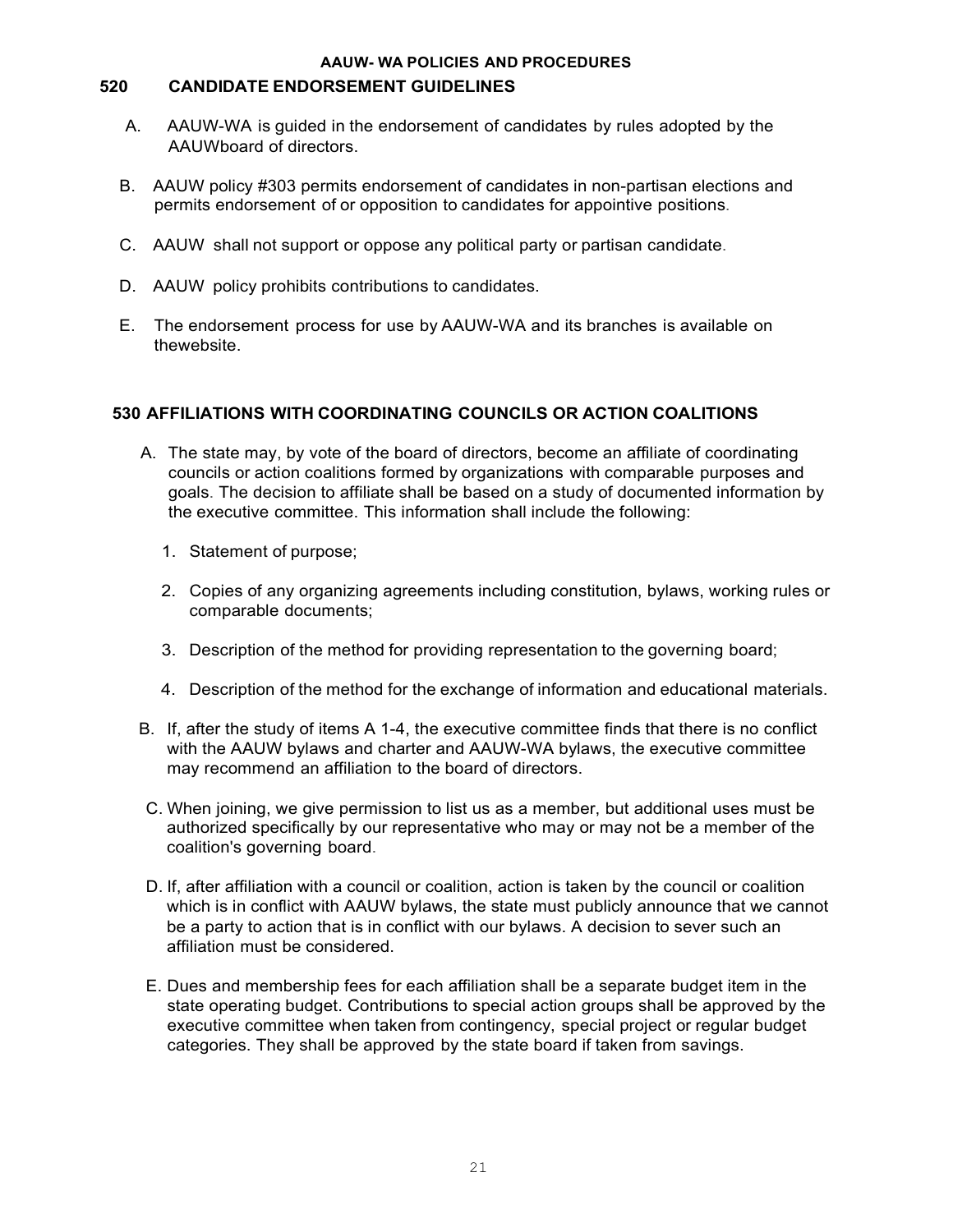## 520 CANDIDATE ENDORSEMENT GUIDELINES

- A. AAUW-WA is guided in the endorsement of candidates by rules adopted by the AAUW board of directors.
- B. AAUW policy #303 permits endorsement of candidates in non-partisan elections and permits endorsement of or opposition to candidates for appointive positions.
- C. AAUW shall not support or oppose any political party or partisan candidate.
- D. AAUW policy prohibits contributions to candidates.
- E. The endorsement process for use by AAUW-WA and its branches is available on the website.

# 530 AFFILIATIONS WITH COORDINATING COUNCILS OR ACTION COALITIONS

- A. The state may, by vote of the board of directors, become an affiliate of coordinating councils or action coalitions formed by organizations with comparable purposes and goals. The decision to affiliate shall be based on a study of documented information by the executive committee. This information shall include the following:
	- 1. Statement of purpose;
	- 2. Copies of any organizing agreements including constitution, bylaws, working rules or comparable documents;
	- 3. Description of the method for providing representation to the governing board;
	- 4. Description of the method for the exchange of information and educational materials.
- B. If, after the study of items A 1-4, the executive committee finds that there is no conflict with the AAUW bylaws and charter and AAUW-WA bylaws, the executive committee may recommend an affiliation to the board of directors.
- C. When joining, we give permission to list us as a member, but additional uses must be authorized specifically by our representative who may or may not be a member of the coalition's governing board.
- D. If, after affiliation with a council or coalition, action is taken by the council or coalition which is in conflict with AAUW bylaws, the state must publicly announce that we cannot be a party to action that is in conflict with our bylaws. A decision to sever such an affiliation must be considered.
- E. Dues and membership fees for each affiliation shall be a separate budget item in the state operating budget. Contributions to special action groups shall be approved by the executive committee when taken from contingency, special project or regular budget categories. They shall be approved by the state board if taken from savings.